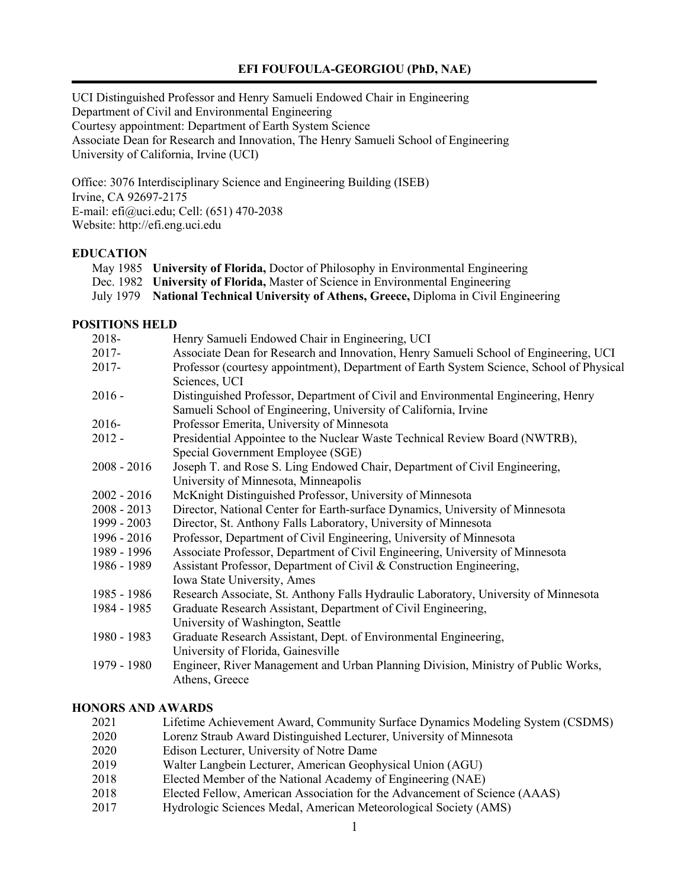## **EFI FOUFOULA-GEORGIOU (PhD, NAE)**

UCI Distinguished Professor and Henry Samueli Endowed Chair in Engineering Department of Civil and Environmental Engineering Courtesy appointment: Department of Earth System Science Associate Dean for Research and Innovation, The Henry Samueli School of Engineering University of California, Irvine (UCI)

Office: 3076 Interdisciplinary Science and Engineering Building (ISEB) Irvine, CA 92697-2175 E-mail: efi@uci.edu; Cell: (651) 470-2038 Website: http://efi.eng.uci.edu

# **EDUCATION**

- May 1985 **University of Florida,** Doctor of Philosophy in Environmental Engineering
- Dec. 1982 **University of Florida,** Master of Science in Environmental Engineering
- July 1979 **National Technical University of Athens, Greece,** Diploma in Civil Engineering

# **POSITIONS HELD**

| 2018-         | Henry Samueli Endowed Chair in Engineering, UCI                                                                  |
|---------------|------------------------------------------------------------------------------------------------------------------|
| $2017 -$      | Associate Dean for Research and Innovation, Henry Samueli School of Engineering, UCI                             |
| $2017 -$      | Professor (courtesy appointment), Department of Earth System Science, School of Physical<br>Sciences, UCI        |
| $2016 -$      | Distinguished Professor, Department of Civil and Environmental Engineering, Henry                                |
|               | Samueli School of Engineering, University of California, Irvine                                                  |
| $2016-$       | Professor Emerita, University of Minnesota                                                                       |
| $2012 -$      | Presidential Appointee to the Nuclear Waste Technical Review Board (NWTRB),<br>Special Government Employee (SGE) |
| $2008 - 2016$ | Joseph T. and Rose S. Ling Endowed Chair, Department of Civil Engineering,                                       |
|               | University of Minnesota, Minneapolis                                                                             |
| $2002 - 2016$ | McKnight Distinguished Professor, University of Minnesota                                                        |
| $2008 - 2013$ | Director, National Center for Earth-surface Dynamics, University of Minnesota                                    |
| 1999 - 2003   | Director, St. Anthony Falls Laboratory, University of Minnesota                                                  |
| 1996 - 2016   | Professor, Department of Civil Engineering, University of Minnesota                                              |
| 1989 - 1996   | Associate Professor, Department of Civil Engineering, University of Minnesota                                    |
| 1986 - 1989   | Assistant Professor, Department of Civil & Construction Engineering,                                             |
|               | Iowa State University, Ames                                                                                      |
| 1985 - 1986   | Research Associate, St. Anthony Falls Hydraulic Laboratory, University of Minnesota                              |
| 1984 - 1985   | Graduate Research Assistant, Department of Civil Engineering,                                                    |
|               | University of Washington, Seattle                                                                                |
| 1980 - 1983   | Graduate Research Assistant, Dept. of Environmental Engineering,                                                 |
|               | University of Florida, Gainesville                                                                               |
| 1979 - 1980   | Engineer, River Management and Urban Planning Division, Ministry of Public Works,<br>Athens, Greece              |

## **HONORS AND AWARDS**

- 2021 Lifetime Achievement Award, Community Surface Dynamics Modeling System (CSDMS)
- 2020 Lorenz Straub Award Distinguished Lecturer, University of Minnesota
- 2020 Edison Lecturer, University of Notre Dame
- 2019 Walter Langbein Lecturer, American Geophysical Union (AGU)
- 2018 Elected Member of the National Academy of Engineering (NAE)
- 2018 Elected Fellow, American Association for the Advancement of Science (AAAS)
- 2017 Hydrologic Sciences Medal, American Meteorological Society (AMS)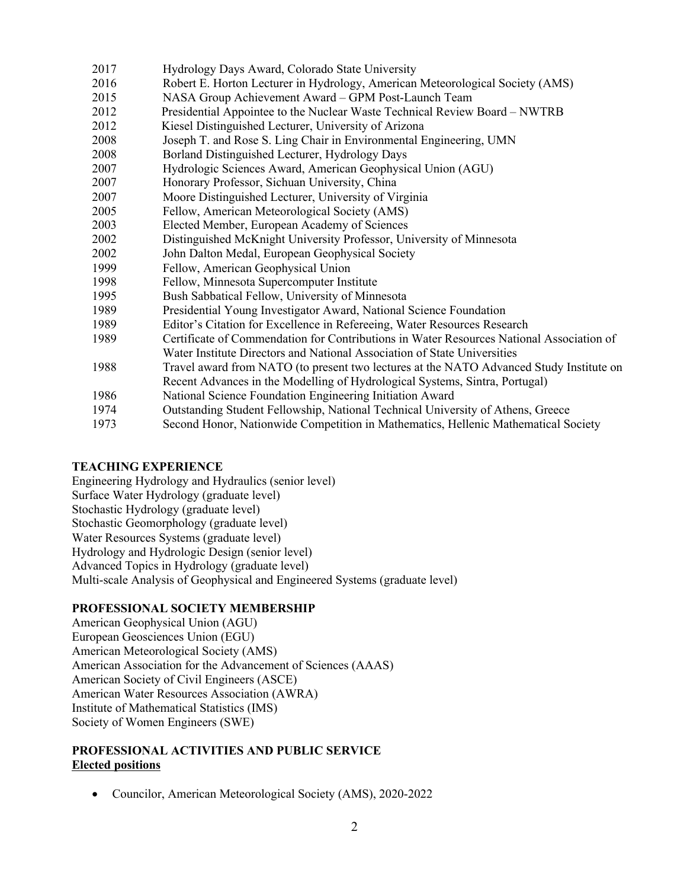| 2017 | Hydrology Days Award, Colorado State University                                          |
|------|------------------------------------------------------------------------------------------|
| 2016 | Robert E. Horton Lecturer in Hydrology, American Meteorological Society (AMS)            |
| 2015 | NASA Group Achievement Award - GPM Post-Launch Team                                      |
| 2012 | Presidential Appointee to the Nuclear Waste Technical Review Board – NWTRB               |
| 2012 | Kiesel Distinguished Lecturer, University of Arizona                                     |
| 2008 | Joseph T. and Rose S. Ling Chair in Environmental Engineering, UMN                       |
| 2008 | Borland Distinguished Lecturer, Hydrology Days                                           |
| 2007 | Hydrologic Sciences Award, American Geophysical Union (AGU)                              |
| 2007 | Honorary Professor, Sichuan University, China                                            |
| 2007 | Moore Distinguished Lecturer, University of Virginia                                     |
| 2005 | Fellow, American Meteorological Society (AMS)                                            |
| 2003 | Elected Member, European Academy of Sciences                                             |
| 2002 | Distinguished McKnight University Professor, University of Minnesota                     |
| 2002 | John Dalton Medal, European Geophysical Society                                          |
| 1999 | Fellow, American Geophysical Union                                                       |
| 1998 | Fellow, Minnesota Supercomputer Institute                                                |
| 1995 | Bush Sabbatical Fellow, University of Minnesota                                          |
| 1989 | Presidential Young Investigator Award, National Science Foundation                       |
| 1989 | Editor's Citation for Excellence in Refereeing, Water Resources Research                 |
| 1989 | Certificate of Commendation for Contributions in Water Resources National Association of |
|      | Water Institute Directors and National Association of State Universities                 |
| 1988 | Travel award from NATO (to present two lectures at the NATO Advanced Study Institute on  |
|      | Recent Advances in the Modelling of Hydrological Systems, Sintra, Portugal)              |
| 1986 | National Science Foundation Engineering Initiation Award                                 |
| 1974 | Outstanding Student Fellowship, National Technical University of Athens, Greece          |
| 1973 | Second Honor, Nationwide Competition in Mathematics, Hellenic Mathematical Society       |
|      |                                                                                          |

# **TEACHING EXPERIENCE**

Engineering Hydrology and Hydraulics (senior level) Surface Water Hydrology (graduate level) Stochastic Hydrology (graduate level) Stochastic Geomorphology (graduate level) Water Resources Systems (graduate level) Hydrology and Hydrologic Design (senior level) Advanced Topics in Hydrology (graduate level) Multi-scale Analysis of Geophysical and Engineered Systems (graduate level)

# **PROFESSIONAL SOCIETY MEMBERSHIP**

American Geophysical Union (AGU) European Geosciences Union (EGU) American Meteorological Society (AMS) American Association for the Advancement of Sciences (AAAS) American Society of Civil Engineers (ASCE) American Water Resources Association (AWRA) Institute of Mathematical Statistics (IMS) Society of Women Engineers (SWE)

# **PROFESSIONAL ACTIVITIES AND PUBLIC SERVICE Elected positions**

• Councilor, American Meteorological Society (AMS), 2020-2022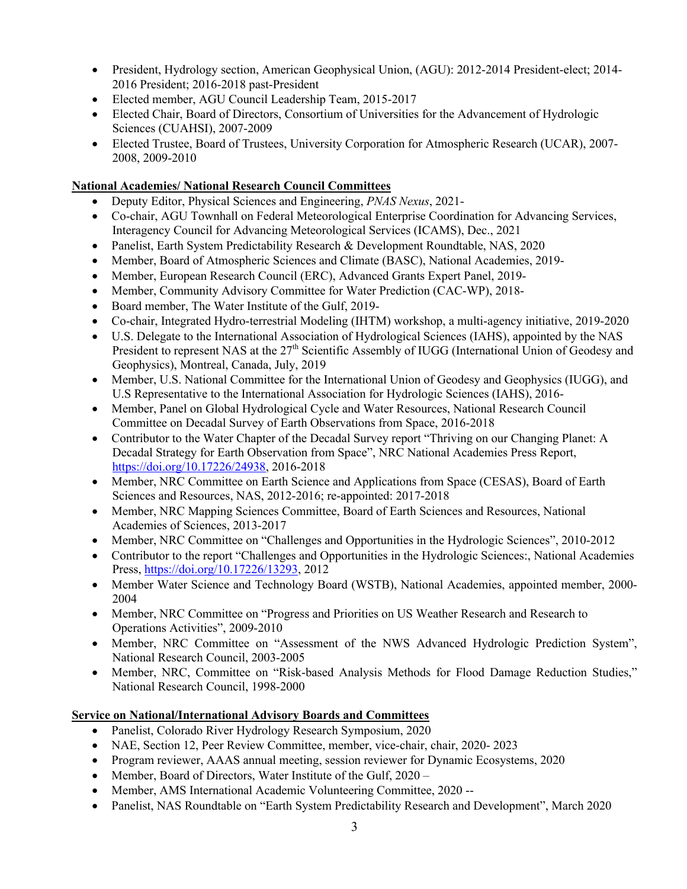- President, Hydrology section, American Geophysical Union, (AGU): 2012-2014 President-elect; 2014-2016 President; 2016-2018 past-President
- Elected member, AGU Council Leadership Team, 2015-2017
- Elected Chair, Board of Directors, Consortium of Universities for the Advancement of Hydrologic Sciences (CUAHSI), 2007-2009
- Elected Trustee, Board of Trustees, University Corporation for Atmospheric Research (UCAR), 2007-2008, 2009-2010

# **National Academies/ National Research Council Committees**

- Deputy Editor, Physical Sciences and Engineering, *PNAS Nexus*, 2021-
- Co-chair, AGU Townhall on Federal Meteorological Enterprise Coordination for Advancing Services, Interagency Council for Advancing Meteorological Services (ICAMS), Dec., 2021
- Panelist, Earth System Predictability Research & Development Roundtable, NAS, 2020
- Member, Board of Atmospheric Sciences and Climate (BASC), National Academies, 2019-
- Member, European Research Council (ERC), Advanced Grants Expert Panel, 2019-
- Member, Community Advisory Committee for Water Prediction (CAC-WP), 2018-
- Board member, The Water Institute of the Gulf, 2019-
- Co-chair, Integrated Hydro-terrestrial Modeling (IHTM) workshop, a multi-agency initiative, 2019-2020
- U.S. Delegate to the International Association of Hydrological Sciences (IAHS), appointed by the NAS President to represent NAS at the 27<sup>th</sup> Scientific Assembly of IUGG (International Union of Geodesy and Geophysics), Montreal, Canada, July, 2019
- Member, U.S. National Committee for the International Union of Geodesy and Geophysics (IUGG), and U.S Representative to the International Association for Hydrologic Sciences (IAHS), 2016-
- Member, Panel on Global Hydrological Cycle and Water Resources, National Research Council Committee on Decadal Survey of Earth Observations from Space, 2016-2018
- Contributor to the Water Chapter of the Decadal Survey report "Thriving on our Changing Planet: A Decadal Strategy for Earth Observation from Space", NRC National Academies Press Report, https://doi.org/10.17226/24938, 2016-2018
- Member, NRC Committee on Earth Science and Applications from Space (CESAS), Board of Earth Sciences and Resources, NAS, 2012-2016; re-appointed: 2017-2018
- Member, NRC Mapping Sciences Committee, Board of Earth Sciences and Resources, National Academies of Sciences, 2013-2017
- Member, NRC Committee on "Challenges and Opportunities in the Hydrologic Sciences", 2010-2012
- Contributor to the report "Challenges and Opportunities in the Hydrologic Sciences:, National Academies Press, https://doi.org/10.17226/13293, 2012
- Member Water Science and Technology Board (WSTB), National Academies, appointed member, 2000-2004
- Member, NRC Committee on "Progress and Priorities on US Weather Research and Research to Operations Activities", 2009-2010
- Member, NRC Committee on "Assessment of the NWS Advanced Hydrologic Prediction System", National Research Council, 2003-2005
- Member, NRC, Committee on "Risk-based Analysis Methods for Flood Damage Reduction Studies," National Research Council, 1998-2000

# **Service on National/International Advisory Boards and Committees**

- Panelist, Colorado River Hydrology Research Symposium, 2020
- NAE, Section 12, Peer Review Committee, member, vice-chair, chair, 2020- 2023
- Program reviewer, AAAS annual meeting, session reviewer for Dynamic Ecosystems, 2020
- Member, Board of Directors, Water Institute of the Gulf, 2020 –
- Member, AMS International Academic Volunteering Committee, 2020 --
- Panelist, NAS Roundtable on "Earth System Predictability Research and Development", March 2020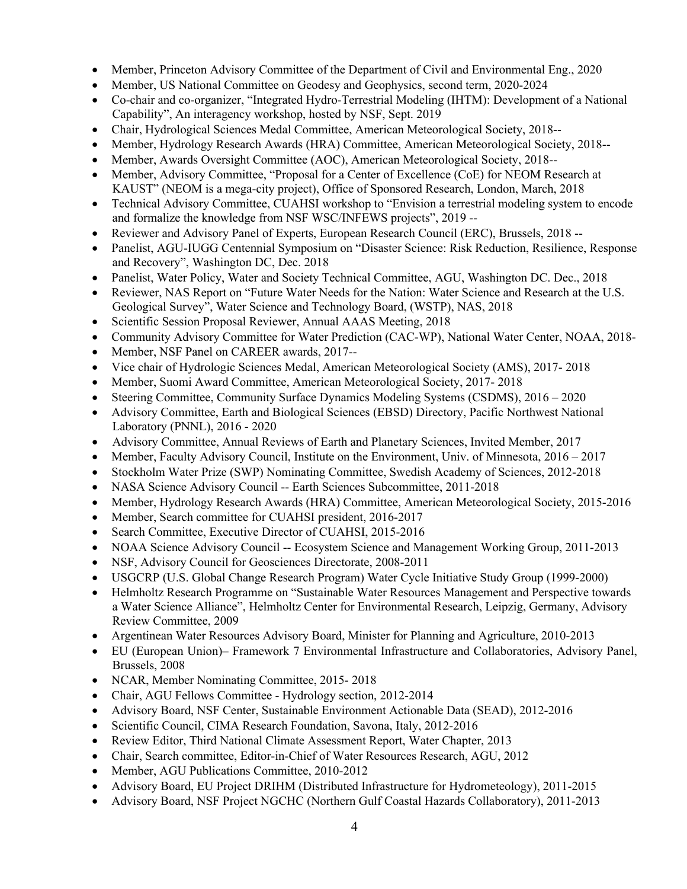- Member, Princeton Advisory Committee of the Department of Civil and Environmental Eng., 2020
- Member, US National Committee on Geodesy and Geophysics, second term, 2020-2024
- Co-chair and co-organizer, "Integrated Hydro-Terrestrial Modeling (IHTM): Development of a National Capability", An interagency workshop, hosted by NSF, Sept. 2019
- Chair, Hydrological Sciences Medal Committee, American Meteorological Society, 2018--
- Member, Hydrology Research Awards (HRA) Committee, American Meteorological Society, 2018--
- Member, Awards Oversight Committee (AOC), American Meteorological Society, 2018--
- Member, Advisory Committee, "Proposal for a Center of Excellence (CoE) for NEOM Research at KAUST" (NEOM is a mega-city project), Office of Sponsored Research, London, March, 2018
- Technical Advisory Committee, CUAHSI workshop to "Envision a terrestrial modeling system to encode and formalize the knowledge from NSF WSC/INFEWS projects", 2019 --
- Reviewer and Advisory Panel of Experts, European Research Council (ERC), Brussels, 2018 --
- Panelist, AGU-IUGG Centennial Symposium on "Disaster Science: Risk Reduction, Resilience, Response and Recovery", Washington DC, Dec. 2018
- Panelist, Water Policy, Water and Society Technical Committee, AGU, Washington DC. Dec., 2018
- Reviewer, NAS Report on "Future Water Needs for the Nation: Water Science and Research at the U.S. Geological Survey", Water Science and Technology Board, (WSTP), NAS, 2018
- Scientific Session Proposal Reviewer, Annual AAAS Meeting, 2018
- Community Advisory Committee for Water Prediction (CAC-WP), National Water Center, NOAA, 2018-
- Member, NSF Panel on CAREER awards, 2017--
- Vice chair of Hydrologic Sciences Medal, American Meteorological Society (AMS), 2017- 2018
- Member, Suomi Award Committee, American Meteorological Society, 2017- 2018
- Steering Committee, Community Surface Dynamics Modeling Systems (CSDMS), 2016 2020
- Advisory Committee, Earth and Biological Sciences (EBSD) Directory, Pacific Northwest National Laboratory (PNNL), 2016 - 2020
- Advisory Committee, Annual Reviews of Earth and Planetary Sciences, Invited Member, 2017
- Member, Faculty Advisory Council, Institute on the Environment, Univ. of Minnesota, 2016 2017
- Stockholm Water Prize (SWP) Nominating Committee, Swedish Academy of Sciences, 2012-2018
- NASA Science Advisory Council -- Earth Sciences Subcommittee, 2011-2018
- Member, Hydrology Research Awards (HRA) Committee, American Meteorological Society, 2015-2016
- Member, Search committee for CUAHSI president, 2016-2017
- Search Committee, Executive Director of CUAHSI, 2015-2016
- NOAA Science Advisory Council -- Ecosystem Science and Management Working Group, 2011-2013
- NSF, Advisory Council for Geosciences Directorate, 2008-2011
- USGCRP (U.S. Global Change Research Program) Water Cycle Initiative Study Group (1999-2000)
- Helmholtz Research Programme on "Sustainable Water Resources Management and Perspective towards a Water Science Alliance", Helmholtz Center for Environmental Research, Leipzig, Germany, Advisory Review Committee, 2009
- Argentinean Water Resources Advisory Board, Minister for Planning and Agriculture, 2010-2013
- EU (European Union)– Framework 7 Environmental Infrastructure and Collaboratories, Advisory Panel, Brussels, 2008
- NCAR, Member Nominating Committee, 2015-2018
- Chair, AGU Fellows Committee Hydrology section, 2012-2014
- Advisory Board, NSF Center, Sustainable Environment Actionable Data (SEAD), 2012-2016
- Scientific Council, CIMA Research Foundation, Savona, Italy, 2012-2016
- Review Editor, Third National Climate Assessment Report, Water Chapter, 2013
- Chair, Search committee, Editor-in-Chief of Water Resources Research, AGU, 2012
- Member, AGU Publications Committee, 2010-2012
- Advisory Board, EU Project DRIHM (Distributed Infrastructure for Hydrometeology), 2011-2015
- Advisory Board, NSF Project NGCHC (Northern Gulf Coastal Hazards Collaboratory), 2011-2013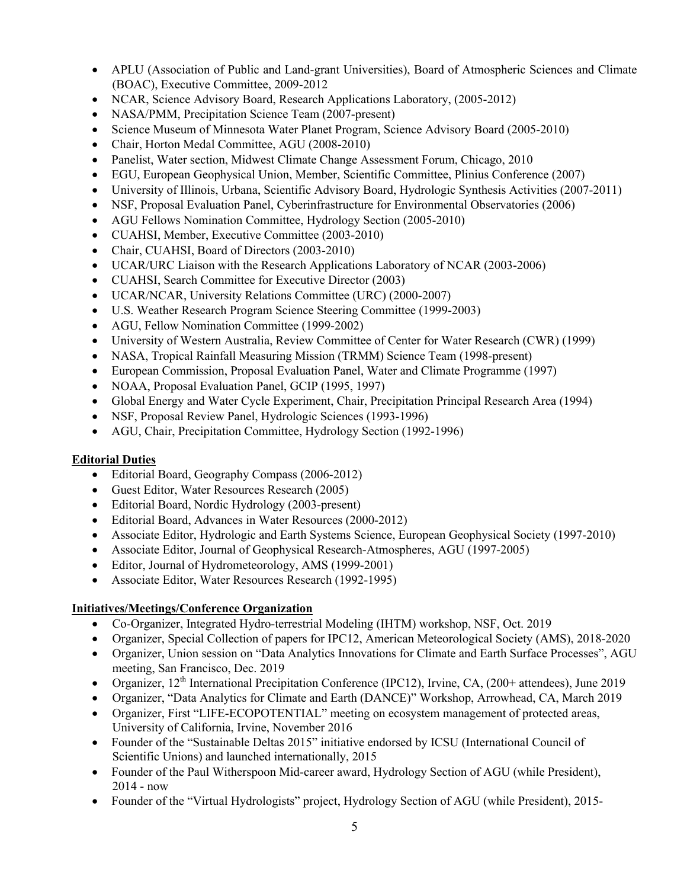- APLU (Association of Public and Land-grant Universities), Board of Atmospheric Sciences and Climate (BOAC), Executive Committee, 2009-2012
- NCAR, Science Advisory Board, Research Applications Laboratory, (2005-2012)
- NASA/PMM, Precipitation Science Team (2007-present)
- Science Museum of Minnesota Water Planet Program, Science Advisory Board (2005-2010)
- Chair, Horton Medal Committee, AGU (2008-2010)
- Panelist, Water section, Midwest Climate Change Assessment Forum, Chicago, 2010
- EGU, European Geophysical Union, Member, Scientific Committee, Plinius Conference (2007)
- University of Illinois, Urbana, Scientific Advisory Board, Hydrologic Synthesis Activities (2007-2011)
- NSF, Proposal Evaluation Panel, Cyberinfrastructure for Environmental Observatories (2006)
- AGU Fellows Nomination Committee, Hydrology Section (2005-2010)
- CUAHSI, Member, Executive Committee (2003-2010)
- Chair, CUAHSI, Board of Directors (2003-2010)
- UCAR/URC Liaison with the Research Applications Laboratory of NCAR (2003-2006)
- CUAHSI, Search Committee for Executive Director (2003)
- UCAR/NCAR, University Relations Committee (URC) (2000-2007)
- U.S. Weather Research Program Science Steering Committee (1999-2003)
- AGU, Fellow Nomination Committee (1999-2002)
- University of Western Australia, Review Committee of Center for Water Research (CWR) (1999)
- NASA, Tropical Rainfall Measuring Mission (TRMM) Science Team (1998-present)
- European Commission, Proposal Evaluation Panel, Water and Climate Programme (1997)
- NOAA, Proposal Evaluation Panel, GCIP (1995, 1997)
- Global Energy and Water Cycle Experiment, Chair, Precipitation Principal Research Area (1994)
- NSF, Proposal Review Panel, Hydrologic Sciences (1993-1996)
- AGU, Chair, Precipitation Committee, Hydrology Section (1992-1996)

# **Editorial Duties**

- Editorial Board, Geography Compass (2006-2012)
- Guest Editor, Water Resources Research (2005)
- Editorial Board, Nordic Hydrology (2003-present)
- Editorial Board, Advances in Water Resources (2000-2012)
- Associate Editor, Hydrologic and Earth Systems Science, European Geophysical Society (1997-2010)
- Associate Editor, Journal of Geophysical Research-Atmospheres, AGU (1997-2005)
- Editor, Journal of Hydrometeorology, AMS (1999-2001)
- Associate Editor, Water Resources Research (1992-1995)

# **Initiatives/Meetings/Conference Organization**

- Co-Organizer, Integrated Hydro-terrestrial Modeling (IHTM) workshop, NSF, Oct. 2019
- Organizer, Special Collection of papers for IPC12, American Meteorological Society (AMS), 2018-2020
- Organizer, Union session on "Data Analytics Innovations for Climate and Earth Surface Processes", AGU meeting, San Francisco, Dec. 2019
- Organizer,  $12<sup>th</sup>$  International Precipitation Conference (IPC12), Irvine, CA, (200+ attendees), June 2019
- Organizer, "Data Analytics for Climate and Earth (DANCE)" Workshop, Arrowhead, CA, March 2019
- Organizer, First "LIFE-ECOPOTENTIAL" meeting on ecosystem management of protected areas, University of California, Irvine, November 2016
- Founder of the "Sustainable Deltas 2015" initiative endorsed by ICSU (International Council of Scientific Unions) and launched internationally, 2015
- Founder of the Paul Witherspoon Mid-career award, Hydrology Section of AGU (while President), 2014 - now
- Founder of the "Virtual Hydrologists" project, Hydrology Section of AGU (while President), 2015-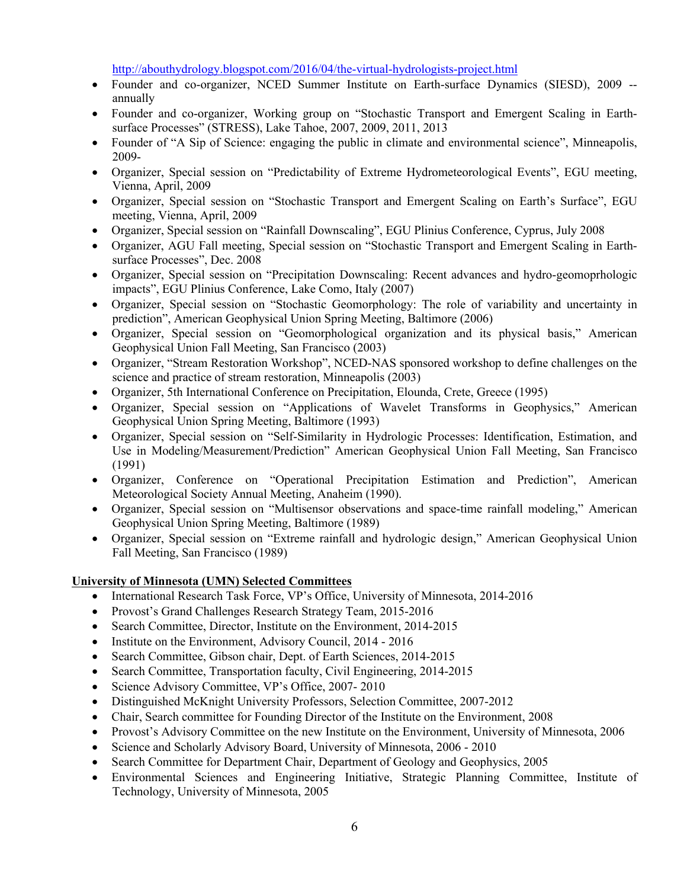http://abouthydrology.blogspot.com/2016/04/the-virtual-hydrologists-project.html

- Founder and co-organizer, NCED Summer Institute on Earth-surface Dynamics (SIESD), 2009 -annually
- Founder and co-organizer, Working group on "Stochastic Transport and Emergent Scaling in Earthsurface Processes" (STRESS), Lake Tahoe, 2007, 2009, 2011, 2013
- Founder of "A Sip of Science: engaging the public in climate and environmental science", Minneapolis, 2009-
- Organizer, Special session on "Predictability of Extreme Hydrometeorological Events", EGU meeting, Vienna, April, 2009
- Organizer, Special session on "Stochastic Transport and Emergent Scaling on Earth's Surface", EGU meeting, Vienna, April, 2009
- Organizer, Special session on "Rainfall Downscaling", EGU Plinius Conference, Cyprus, July 2008
- Organizer, AGU Fall meeting, Special session on "Stochastic Transport and Emergent Scaling in Earthsurface Processes", Dec. 2008
- Organizer, Special session on "Precipitation Downscaling: Recent advances and hydro-geomoprhologic impacts", EGU Plinius Conference, Lake Como, Italy (2007)
- Organizer, Special session on "Stochastic Geomorphology: The role of variability and uncertainty in prediction", American Geophysical Union Spring Meeting, Baltimore (2006)
- Organizer, Special session on "Geomorphological organization and its physical basis," American Geophysical Union Fall Meeting, San Francisco (2003)
- Organizer, "Stream Restoration Workshop", NCED-NAS sponsored workshop to define challenges on the science and practice of stream restoration, Minneapolis (2003)
- Organizer, 5th International Conference on Precipitation, Elounda, Crete, Greece (1995)
- Organizer, Special session on "Applications of Wavelet Transforms in Geophysics," American Geophysical Union Spring Meeting, Baltimore (1993)
- Organizer, Special session on "Self-Similarity in Hydrologic Processes: Identification, Estimation, and Use in Modeling/Measurement/Prediction" American Geophysical Union Fall Meeting, San Francisco (1991)
- Organizer, Conference on "Operational Precipitation Estimation and Prediction", American Meteorological Society Annual Meeting, Anaheim (1990).
- Organizer, Special session on "Multisensor observations and space-time rainfall modeling," American Geophysical Union Spring Meeting, Baltimore (1989)
- Organizer, Special session on "Extreme rainfall and hydrologic design," American Geophysical Union Fall Meeting, San Francisco (1989)

## **University of Minnesota (UMN) Selected Committees**

- International Research Task Force, VP's Office, University of Minnesota, 2014-2016
- Provost's Grand Challenges Research Strategy Team, 2015-2016
- Search Committee, Director, Institute on the Environment, 2014-2015
- Institute on the Environment, Advisory Council, 2014 2016
- Search Committee, Gibson chair, Dept. of Earth Sciences, 2014-2015
- Search Committee, Transportation faculty, Civil Engineering, 2014-2015
- Science Advisory Committee, VP's Office, 2007- 2010
- Distinguished McKnight University Professors, Selection Committee, 2007-2012
- Chair, Search committee for Founding Director of the Institute on the Environment, 2008
- Provost's Advisory Committee on the new Institute on the Environment, University of Minnesota, 2006
- Science and Scholarly Advisory Board, University of Minnesota, 2006 2010
- Search Committee for Department Chair, Department of Geology and Geophysics, 2005
- Environmental Sciences and Engineering Initiative, Strategic Planning Committee, Institute of Technology, University of Minnesota, 2005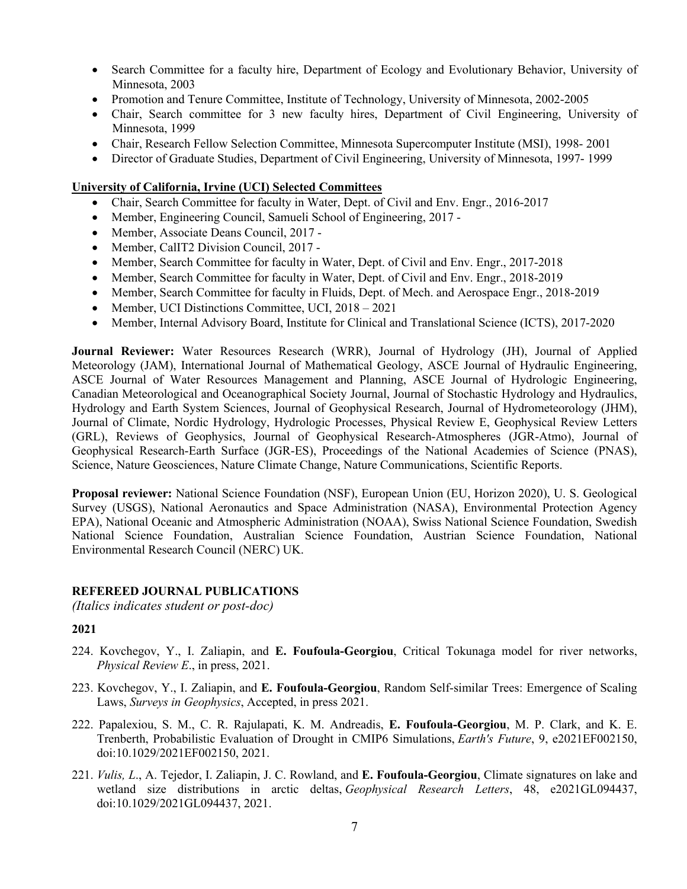- Search Committee for a faculty hire, Department of Ecology and Evolutionary Behavior, University of Minnesota, 2003
- Promotion and Tenure Committee, Institute of Technology, University of Minnesota, 2002-2005
- Chair, Search committee for 3 new faculty hires, Department of Civil Engineering, University of Minnesota, 1999
- Chair, Research Fellow Selection Committee, Minnesota Supercomputer Institute (MSI), 1998-2001
- Director of Graduate Studies, Department of Civil Engineering, University of Minnesota, 1997- 1999

# **University of California, Irvine (UCI) Selected Committees**

- Chair, Search Committee for faculty in Water, Dept. of Civil and Env. Engr., 2016-2017
- Member, Engineering Council, Samueli School of Engineering, 2017 -
- Member, Associate Deans Council, 2017 -
- Member, CalIT2 Division Council, 2017 -
- Member, Search Committee for faculty in Water, Dept. of Civil and Env. Engr., 2017-2018
- Member, Search Committee for faculty in Water, Dept. of Civil and Env. Engr., 2018-2019
- Member, Search Committee for faculty in Fluids, Dept. of Mech. and Aerospace Engr., 2018-2019
- Member, UCI Distinctions Committee, UCI, 2018 2021
- Member, Internal Advisory Board, Institute for Clinical and Translational Science (ICTS), 2017-2020

**Journal Reviewer:** Water Resources Research (WRR), Journal of Hydrology (JH), Journal of Applied Meteorology (JAM), International Journal of Mathematical Geology, ASCE Journal of Hydraulic Engineering, ASCE Journal of Water Resources Management and Planning, ASCE Journal of Hydrologic Engineering, Canadian Meteorological and Oceanographical Society Journal, Journal of Stochastic Hydrology and Hydraulics, Hydrology and Earth System Sciences, Journal of Geophysical Research, Journal of Hydrometeorology (JHM), Journal of Climate, Nordic Hydrology, Hydrologic Processes, Physical Review E, Geophysical Review Letters (GRL), Reviews of Geophysics, Journal of Geophysical Research-Atmospheres (JGR-Atmo), Journal of Geophysical Research-Earth Surface (JGR-ES), Proceedings of the National Academies of Science (PNAS), Science, Nature Geosciences, Nature Climate Change, Nature Communications, Scientific Reports.

**Proposal reviewer:** National Science Foundation (NSF), European Union (EU, Horizon 2020), U. S. Geological Survey (USGS), National Aeronautics and Space Administration (NASA), Environmental Protection Agency EPA), National Oceanic and Atmospheric Administration (NOAA), Swiss National Science Foundation, Swedish National Science Foundation, Australian Science Foundation, Austrian Science Foundation, National Environmental Research Council (NERC) UK.

## **REFEREED JOURNAL PUBLICATIONS**

*(Italics indicates student or post-doc)*

- 224. Kovchegov, Y., I. Zaliapin, and **E. Foufoula-Georgiou**, Critical Tokunaga model for river networks, *Physical Review E*., in press, 2021.
- 223. Kovchegov, Y., I. Zaliapin, and **E. Foufoula-Georgiou**, Random Self-similar Trees: Emergence of Scaling Laws, *Surveys in Geophysics*, Accepted, in press 2021.
- 222. Papalexiou, S. M., C. R. Rajulapati, K. M. Andreadis, **E. Foufoula-Georgiou**, M. P. Clark, and K. E. Trenberth, Probabilistic Evaluation of Drought in CMIP6 Simulations, *Earth's Future*, 9, e2021EF002150, doi:10.1029/2021EF002150, 2021.
- 221. *Vulis, L*., A. Tejedor, I. Zaliapin, J. C. Rowland, and **E. Foufoula-Georgiou**, Climate signatures on lake and wetland size distributions in arctic deltas, *Geophysical Research Letters*, 48, e2021GL094437, doi:10.1029/2021GL094437, 2021.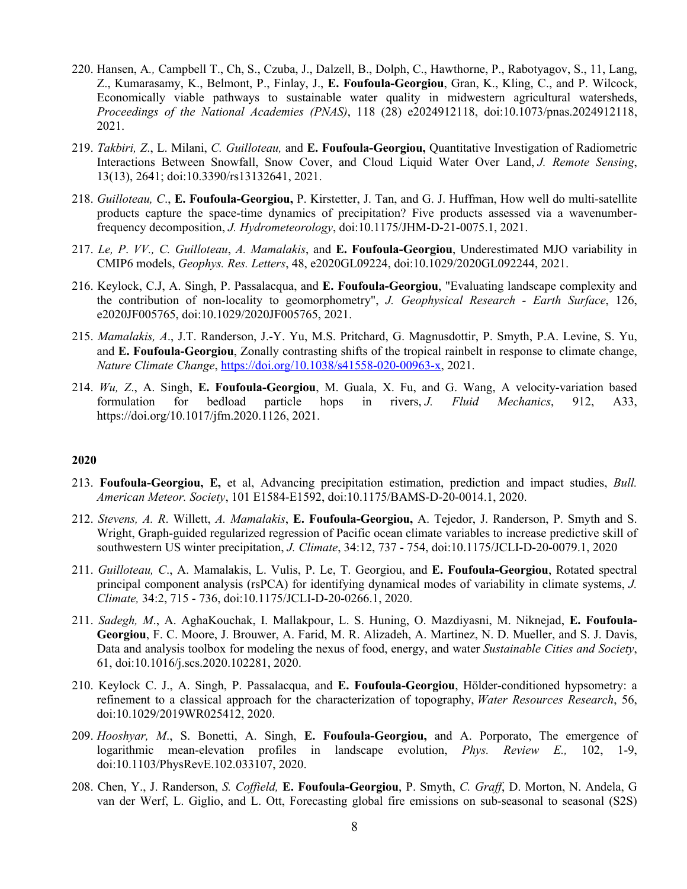- 220. Hansen, A*.,* Campbell T., Ch, S., Czuba, J., Dalzell, B., Dolph, C., Hawthorne, P., Rabotyagov, S., 11, Lang, Z., Kumarasamy, K., Belmont, P., Finlay, J., **E. Foufoula-Georgiou**, Gran, K., Kling, C., and P. Wilcock, Economically viable pathways to sustainable water quality in midwestern agricultural watersheds, *Proceedings of the National Academies (PNAS)*, 118 (28) e2024912118, doi:10.1073/pnas.2024912118, 2021.
- 219. *Takbiri, Z*., L. Milani, *C. Guilloteau,* and **E. Foufoula-Georgiou,** Quantitative Investigation of Radiometric Interactions Between Snowfall, Snow Cover, and Cloud Liquid Water Over Land, *J. Remote Sensing*, 13(13), 2641; doi:10.3390/rs13132641, 2021.
- 218. *Guilloteau, C*., **E. Foufoula-Georgiou,** P. Kirstetter, J. Tan, and G. J. Huffman, How well do multi-satellite products capture the space-time dynamics of precipitation? Five products assessed via a wavenumberfrequency decomposition, *J. Hydrometeorology*, doi:10.1175/JHM-D-21-0075.1, 2021.
- 217. *Le, P*. *VV., C. Guilloteau*, *A. Mamalakis*, and **E. Foufoula-Georgiou**, Underestimated MJO variability in CMIP6 models, *Geophys. Res. Letters*, 48, e2020GL09224, doi:10.1029/2020GL092244, 2021.
- 216. Keylock, C.J, A. Singh, P. Passalacqua, and **E. Foufoula-Georgiou**, "Evaluating landscape complexity and the contribution of non-locality to geomorphometry", *J. Geophysical Research - Earth Surface*, 126, e2020JF005765, doi:10.1029/2020JF005765, 2021.
- 215. *Mamalakis, A*., J.T. Randerson, J.-Y. Yu, M.S. Pritchard, G. Magnusdottir, P. Smyth, P.A. Levine, S. Yu, and **E. Foufoula-Georgiou**, Zonally contrasting shifts of the tropical rainbelt in response to climate change, *Nature Climate Change*, https://doi.org/10.1038/s41558-020-00963-x, 2021.
- 214. *Wu, Z*., A. Singh, **E. Foufoula-Georgiou**, M. Guala, X. Fu, and G. Wang, A velocity-variation based formulation for bedload particle hops in rivers, *J. Fluid Mechanics*, 912, A33, https://doi.org/10.1017/jfm.2020.1126, 2021.

- 213. **Foufoula-Georgiou, E,** et al, Advancing precipitation estimation, prediction and impact studies, *Bull. American Meteor. Society*, 101 E1584-E1592, doi:10.1175/BAMS-D-20-0014.1, 2020.
- 212. *Stevens, A. R*. Willett, *A. Mamalakis*, **E. Foufoula-Georgiou,** A. Tejedor, J. Randerson, P. Smyth and S. Wright, Graph-guided regularized regression of Pacific ocean climate variables to increase predictive skill of southwestern US winter precipitation, *J. Climate*, 34:12, 737 - 754, doi:10.1175/JCLI-D-20-0079.1, 2020
- 211. *Guilloteau, C*., A. Mamalakis, L. Vulis, P. Le, T. Georgiou, and **E. Foufoula-Georgiou**, Rotated spectral principal component analysis (rsPCA) for identifying dynamical modes of variability in climate systems, *J. Climate,* 34:2, 715 - 736, doi:10.1175/JCLI-D-20-0266.1, 2020.
- 211. *Sadegh, M*., A. AghaKouchak, I. Mallakpour, L. S. Huning, O. Mazdiyasni, M. Niknejad, **E. Foufoula-Georgiou**, F. C. Moore, J. Brouwer, A. Farid, M. R. Alizadeh, A. Martinez, N. D. Mueller, and S. J. Davis, Data and analysis toolbox for modeling the nexus of food, energy, and water *Sustainable Cities and Society*, 61, doi:10.1016/j.scs.2020.102281, 2020.
- 210. Keylock C. J., A. Singh, P. Passalacqua, and **E. Foufoula-Georgiou**, Hölder-conditioned hypsometry: a refinement to a classical approach for the characterization of topography, *Water Resources Research*, 56, doi:10.1029/2019WR025412, 2020.
- 209. *Hooshyar, M*., S. Bonetti, A. Singh, **E. Foufoula-Georgiou,** and A. Porporato, The emergence of logarithmic mean-elevation profiles in landscape evolution, *Phys. Review E.,* 102, 1-9, doi:10.1103/PhysRevE.102.033107, 2020.
- 208. Chen, Y., J. Randerson, *S. Coffield,* **E. Foufoula-Georgiou**, P. Smyth, *C. Graff*, D. Morton, N. Andela, G van der Werf, L. Giglio, and L. Ott, Forecasting global fire emissions on sub-seasonal to seasonal (S2S)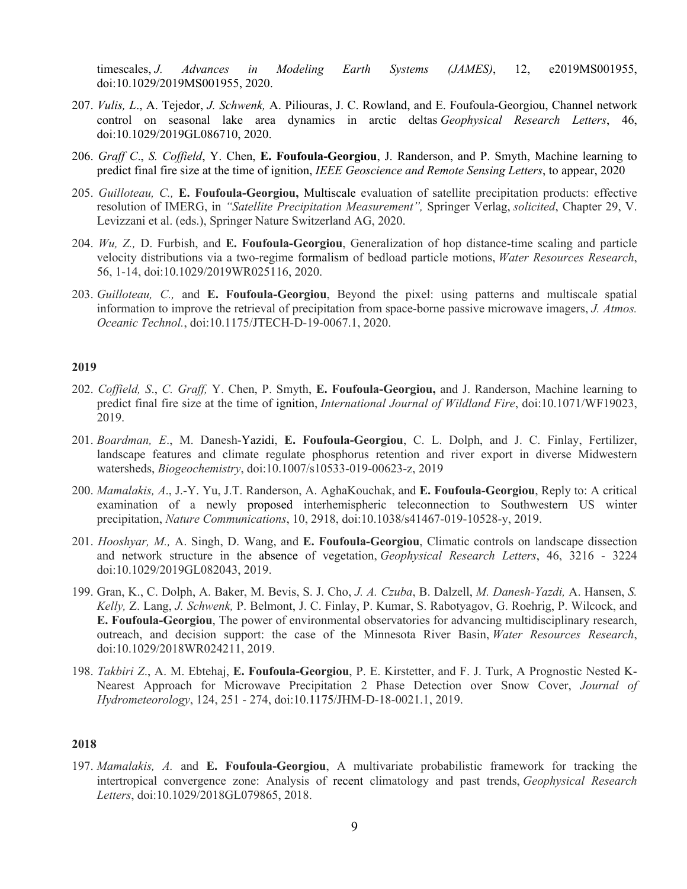timescales, *J. Advances in Modeling Earth Systems (JAMES)*, 12, e2019MS001955, doi:10.1029/2019MS001955, 2020.

- 207. *Vulis, L*., A. Tejedor, *J. Schwenk,* A. Piliouras, J. C. Rowland, and E. Foufoula-Georgiou, Channel network control on seasonal lake area dynamics in arctic deltas *Geophysical Research Letters*, 46, doi:10.1029/2019GL086710, 2020.
- 206. *Graff C*., *S. Coffield*, Y. Chen, **E. Foufoula-Georgiou**, J. Randerson, and P. Smyth, Machine learning to predict final fire size at the time of ignition, *IEEE Geoscience and Remote Sensing Letters*, to appear, 2020
- 205. *Guilloteau, C.,* **E. Foufoula-Georgiou,** Multiscale evaluation of satellite precipitation products: effective resolution of IMERG, in *"Satellite Precipitation Measurement",* Springer Verlag, *solicited*, Chapter 29, V. Levizzani et al. (eds.), Springer Nature Switzerland AG, 2020.
- 204. *Wu, Z.,* D. Furbish, and **E. Foufoula-Georgiou**, Generalization of hop distance-time scaling and particle velocity distributions via a two-regime formalism of bedload particle motions, *Water Resources Research*, 56, 1-14, doi:10.1029/2019WR025116, 2020.
- 203. *Guilloteau, C.,* and **E. Foufoula-Georgiou**, Beyond the pixel: using patterns and multiscale spatial information to improve the retrieval of precipitation from space-borne passive microwave imagers, *J. Atmos. Oceanic Technol.*, doi:10.1175/JTECH-D-19-0067.1, 2020.

### **2019**

- 202. *Coffield, S*., *C. Graff,* Y. Chen, P. Smyth, **E. Foufoula-Georgiou,** and J. Randerson, Machine learning to predict final fire size at the time of ignition, *International Journal of Wildland Fire*, doi:10.1071/WF19023, 2019.
- 201. *Boardman, E*., M. Danesh-Yazidi, **E. Foufoula-Georgiou**, C. L. Dolph, and J. C. Finlay, Fertilizer, landscape features and climate regulate phosphorus retention and river export in diverse Midwestern watersheds, *Biogeochemistry*, doi:10.1007/s10533-019-00623-z, 2019
- 200. *Mamalakis, A*., J.-Y. Yu, J.T. Randerson, A. AghaKouchak, and **E. Foufoula-Georgiou**, Reply to: A critical examination of a newly proposed interhemispheric teleconnection to Southwestern US winter precipitation, *Nature Communications*, 10, 2918, doi:10.1038/s41467-019-10528-y, 2019.
- 201. *Hooshyar, M.,* A. Singh, D. Wang, and **E. Foufoula‐Georgiou**, Climatic controls on landscape dissection and network structure in the absence of vegetation, *Geophysical Research Letters*, 46, 3216 - 3224 doi:10.1029/2019GL082043, 2019.
- 199. Gran, K., C. Dolph, A. Baker, M. Bevis, S. J. Cho, *J. A. Czuba*, B. Dalzell, *M. Danesh‐Yazdi,* A. Hansen, *S. Kelly,* Z. Lang, *J. Schwenk,* P. Belmont, J. C. Finlay, P. Kumar, S. Rabotyagov, G. Roehrig, P. Wilcock, and **E. Foufoula‐Georgiou**, The power of environmental observatories for advancing multidisciplinary research, outreach, and decision support: the case of the Minnesota River Basin, *Water Resources Research*, doi:10.1029/2018WR024211, 2019.
- 198. *Takbiri Z*., A. M. Ebtehaj, **E. Foufoula-Georgiou**, P. E. Kirstetter, and F. J. Turk, A Prognostic Nested K-Nearest Approach for Microwave Precipitation 2 Phase Detection over Snow Cover, *Journal of Hydrometeorology*, 124, 251 - 274, doi:10.1175/JHM-D-18-0021.1, 2019.

#### **2018**

197. *Mamalakis, A.* and **E. Foufoula-Georgiou**, A multivariate probabilistic framework for tracking the intertropical convergence zone: Analysis of recent climatology and past trends, *Geophysical Research Letters*, doi:10.1029/2018GL079865, 2018.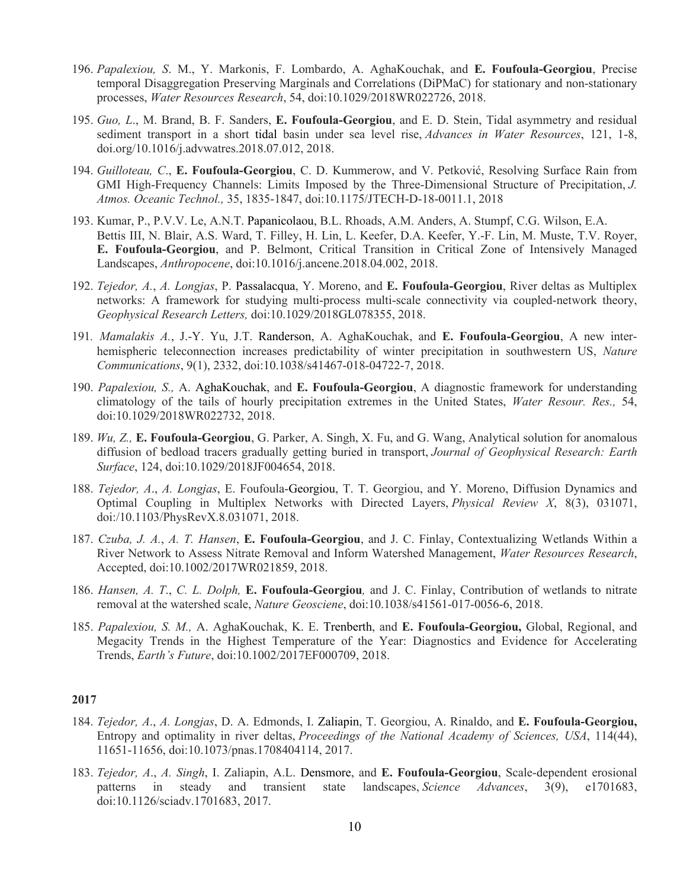- 196. *Papalexiou, S*. M., Y. Markonis, F. Lombardo, A. AghaKouchak, and **E. Foufoula-Georgiou**, Precise temporal Disaggregation Preserving Marginals and Correlations (DiPMaC) for stationary and non-stationary processes, *Water Resources Research*, 54, doi:10.1029/2018WR022726, 2018.
- 195. *Guo, L*., M. Brand, B. F. Sanders, **E. Foufoula-Georgiou**, and E. D. Stein, Tidal asymmetry and residual sediment transport in a short tidal basin under sea level rise, *Advances in Water Resources*, 121, 1-8, doi.org/10.1016/j.advwatres.2018.07.012, 2018.
- 194. *Guilloteau, C*., **E. Foufoula-Georgiou**, C. D. Kummerow, and V. Petković, Resolving Surface Rain from GMI High-Frequency Channels: Limits Imposed by the Three-Dimensional Structure of Precipitation, *J. Atmos. Oceanic Technol.,* 35, 1835-1847, doi:10.1175/JTECH-D-18-0011.1, 2018
- 193. Kumar, P., P.V.V. Le, A.N.T. Papanicolaou, B.L. Rhoads, A.M. Anders, A. Stumpf, C.G. Wilson, E.A. Bettis III, N. Blair, A.S. Ward, T. Filley, H. Lin, L. Keefer, D.A. Keefer, Y.-F. Lin, M. Muste, T.V. Royer, **E. Foufoula-Georgiou**, and P. Belmont, Critical Transition in Critical Zone of Intensively Managed Landscapes, *Anthropocene*, doi:10.1016/j.ancene.2018.04.002, 2018.
- 192. *Tejedor, A.*, *A. Longjas*, P. Passalacqua, Y. Moreno, and **E. Foufoula-Georgiou**, River deltas as Multiplex networks: A framework for studying multi-process multi-scale connectivity via coupled-network theory, *Geophysical Research Letters,* doi:10.1029/2018GL078355, 2018.
- 191*. Mamalakis A.*, J.-Y. Yu, J.T. Randerson, A. AghaKouchak, and **E. Foufoula-Georgiou**, A new interhemispheric teleconnection increases predictability of winter precipitation in southwestern US, *Nature Communications*, 9(1), 2332, doi:10.1038/s41467-018-04722-7, 2018.
- 190. *Papalexiou, S.,* A. AghaKouchak, and **E. Foufoula-Georgiou**, A diagnostic framework for understanding climatology of the tails of hourly precipitation extremes in the United States, *Water Resour. Res.,* 54, doi:10.1029/2018WR022732, 2018.
- 189. *Wu, Z.,* **E. Foufoula-Georgiou**, G. Parker, A. Singh, X. Fu, and G. Wang, Analytical solution for anomalous diffusion of bedload tracers gradually getting buried in transport, *Journal of Geophysical Research: Earth Surface*, 124, doi:10.1029/2018JF004654, 2018.
- 188. *Tejedor, A*., *A. Longjas*, E. Foufoula-Georgiou, T. T. Georgiou, and Y. Moreno, Diffusion Dynamics and Optimal Coupling in Multiplex Networks with Directed Layers, *Physical Review X*, 8(3), 031071, doi:/10.1103/PhysRevX.8.031071, 2018.
- 187. *Czuba, J. A.*, *A. T. Hansen*, **E. Foufoula-Georgiou**, and J. C. Finlay, Contextualizing Wetlands Within a River Network to Assess Nitrate Removal and Inform Watershed Management, *Water Resources Research*, Accepted, doi:10.1002/2017WR021859, 2018.
- 186. *Hansen, A. T*., *C. L. Dolph,* **E. Foufoula-Georgiou***,* and J. C. Finlay, Contribution of wetlands to nitrate removal at the watershed scale, *Nature Geosciene*, doi:10.1038/s41561-017-0056-6, 2018.
- 185. *Papalexiou, S. M.,* A. AghaKouchak, K. E. Trenberth, and **E. Foufoula-Georgiou,** Global, Regional, and Megacity Trends in the Highest Temperature of the Year: Diagnostics and Evidence for Accelerating Trends, *Earth's Future*, doi:10.1002/2017EF000709, 2018.

- 184. *Tejedor, A*., *A. Longjas*, D. A. Edmonds, I. Zaliapin, T. Georgiou, A. Rinaldo, and **E. Foufoula-Georgiou,** Entropy and optimality in river deltas, *Proceedings of the National Academy of Sciences, USA*, 114(44), 11651-11656, doi:10.1073/pnas.1708404114, 2017.
- 183. *Tejedor, A*., *A. Singh*, I. Zaliapin, A.L. Densmore, and **E. Foufoula-Georgiou**, Scale-dependent erosional patterns in steady and transient state landscapes, *Science Advances*, 3(9), e1701683, doi:10.1126/sciadv.1701683, 2017.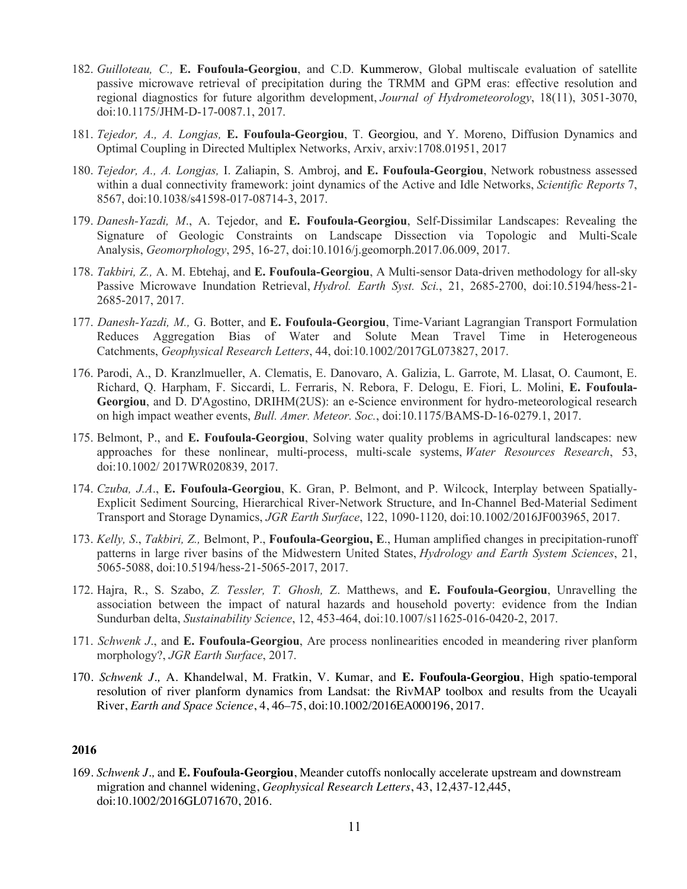- 182. *Guilloteau, C.,* **E. Foufoula-Georgiou**, and C.D. Kummerow, Global multiscale evaluation of satellite passive microwave retrieval of precipitation during the TRMM and GPM eras: effective resolution and regional diagnostics for future algorithm development, *Journal of Hydrometeorology*, 18(11), 3051-3070, doi:10.1175/JHM-D-17-0087.1, 2017.
- 181. *Tejedor, A., A. Longjas,* **E. Foufoula-Georgiou**, T. Georgiou, and Y. Moreno, Diffusion Dynamics and Optimal Coupling in Directed Multiplex Networks, Arxiv, arxiv:1708.01951, 2017
- 180. *Tejedor, A., A. Longjas,* I. Zaliapin, S. Ambroj, and **E. Foufoula-Georgiou**, Network robustness assessed within a dual connectivity framework: joint dynamics of the Active and Idle Networks, *Scientific Reports* 7, 8567, doi:10.1038/s41598-017-08714-3, 2017.
- 179. *Danesh-Yazdi, M*., A. Tejedor, and **E. Foufoula-Georgiou**, Self-Dissimilar Landscapes: Revealing the Signature of Geologic Constraints on Landscape Dissection via Topologic and Multi-Scale Analysis, *Geomorphology*, 295, 16-27, doi:10.1016/j.geomorph.2017.06.009, 2017.
- 178. *Takbiri, Z.,* A. M. Ebtehaj, and **E. Foufoula-Georgiou**, A Multi-sensor Data-driven methodology for all-sky Passive Microwave Inundation Retrieval, *Hydrol. Earth Syst. Sci.*, 21, 2685-2700, doi:10.5194/hess-21- 2685-2017, 2017.
- 177. *Danesh-Yazdi, M.,* G. Botter, and **E. Foufoula-Georgiou**, Time-Variant Lagrangian Transport Formulation Reduces Aggregation Bias of Water and Solute Mean Travel Time in Heterogeneous Catchments, *Geophysical Research Letters*, 44, doi:10.1002/2017GL073827, 2017.
- 176. Parodi, A., D. Kranzlmueller, A. Clematis, E. Danovaro, A. Galizia, L. Garrote, M. Llasat, O. Caumont, E. Richard, Q. Harpham, F. Siccardi, L. Ferraris, N. Rebora, F. Delogu, E. Fiori, L. Molini, **E. Foufoula-Georgiou**, and D. D'Agostino, DRIHM(2US): an e-Science environment for hydro-meteorological research on high impact weather events, *Bull. Amer. Meteor. Soc.*, doi:10.1175/BAMS-D-16-0279.1, 2017.
- 175. Belmont, P., and **E. Foufoula-Georgiou**, Solving water quality problems in agricultural landscapes: new approaches for these nonlinear, multi-process, multi-scale systems, *Water Resources Research*, 53, doi:10.1002/ 2017WR020839, 2017.
- 174. *Czuba, J.A*., **E. Foufoula-Georgiou**, K. Gran, P. Belmont, and P. Wilcock, Interplay between Spatially-Explicit Sediment Sourcing, Hierarchical River-Network Structure, and In-Channel Bed-Material Sediment Transport and Storage Dynamics, *JGR Earth Surface*, 122, 1090-1120, doi:10.1002/2016JF003965, 2017.
- 173. *Kelly, S*., *Takbiri, Z.,* Belmont, P., **Foufoula-Georgiou, E**., Human amplified changes in precipitation-runoff patterns in large river basins of the Midwestern United States, *Hydrology and Earth System Sciences*, 21, 5065-5088, doi:10.5194/hess-21-5065-2017, 2017.
- 172. Hajra, R., S. Szabo, *Z. Tessler, T. Ghosh,* Z. Matthews, and **E. Foufoula-Georgiou**, Unravelling the association between the impact of natural hazards and household poverty: evidence from the Indian Sundurban delta, *Sustainability Science*, 12, 453-464, doi:10.1007/s11625-016-0420-2, 2017.
- 171. *Schwenk J*., and **E. Foufoula-Georgiou**, Are process nonlinearities encoded in meandering river planform morphology?, *JGR Earth Surface*, 2017.
- 170. *Schwenk J.,* A. Khandelwal, M. Fratkin, V. Kumar, and **E. Foufoula-Georgiou**, High spatio-temporal resolution of river planform dynamics from Landsat: the RivMAP toolbox and results from the Ucayali River, *Earth and Space Science*, 4, 46–75, doi:10.1002/2016EA000196, 2017.

169. *Schwenk J.,* and **E. Foufoula-Georgiou**, Meander cutoffs nonlocally accelerate upstream and downstream migration and channel widening, *Geophysical Research Letters*, 43, 12,437-12,445, doi:10.1002/2016GL071670, 2016.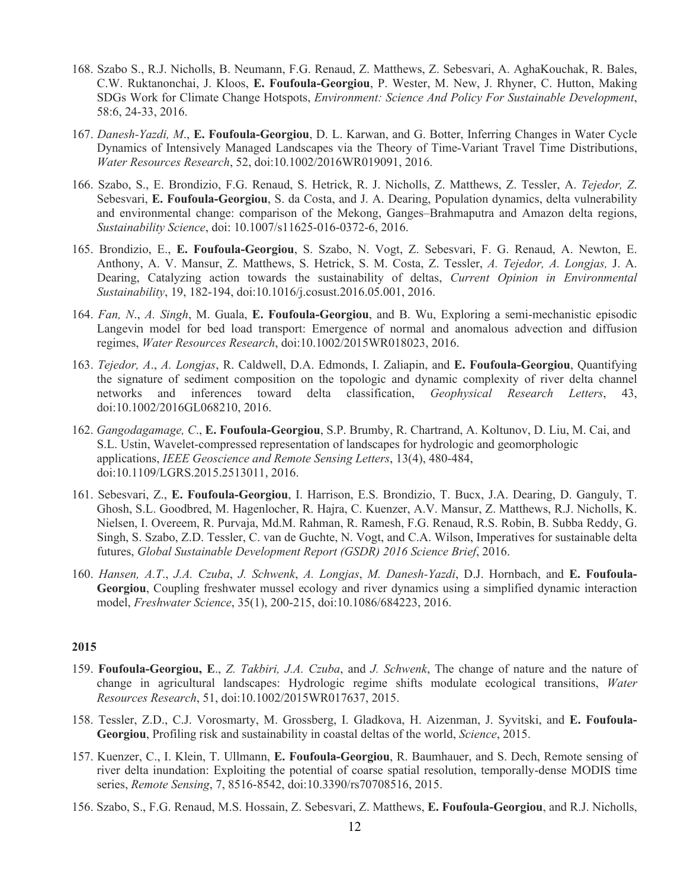- 168. Szabo S., R.J. Nicholls, B. Neumann, F.G. Renaud, Z. Matthews, Z. Sebesvari, A. AghaKouchak, R. Bales, C.W. Ruktanonchai, J. Kloos, **E. Foufoula-Georgiou**, P. Wester, M. New, J. Rhyner, C. Hutton, Making SDGs Work for Climate Change Hotspots, *Environment: Science And Policy For Sustainable Development*, 58:6, 24-33, 2016.
- 167. *Danesh-Yazdi, M*., **E. Foufoula-Georgiou**, D. L. Karwan, and G. Botter, Inferring Changes in Water Cycle Dynamics of Intensively Managed Landscapes via the Theory of Time-Variant Travel Time Distributions, *Water Resources Research*, 52, doi:10.1002/2016WR019091, 2016.
- 166. Szabo, S., E. Brondizio, F.G. Renaud, S. Hetrick, R. J. Nicholls, Z. Matthews, Z. Tessler, A. *Tejedor, Z*. Sebesvari, **E. Foufoula-Georgiou**, S. da Costa, and J. A. Dearing, Population dynamics, delta vulnerability and environmental change: comparison of the Mekong, Ganges–Brahmaputra and Amazon delta regions, *Sustainability Science*, doi: 10.1007/s11625-016-0372-6, 2016.
- 165. Brondizio, E., **E. Foufoula-Georgiou**, S. Szabo, N. Vogt, Z. Sebesvari, F. G. Renaud, A. Newton, E. Anthony, A. V. Mansur, Z. Matthews, S. Hetrick, S. M. Costa, Z. Tessler, *A. Tejedor, A. Longjas,* J. A. Dearing, Catalyzing action towards the sustainability of deltas, *Current Opinion in Environmental Sustainability*, 19, 182-194, doi:10.1016/j.cosust.2016.05.001, 2016.
- 164. *Fan, N*., *A. Singh*, M. Guala, **E. Foufoula-Georgiou**, and B. Wu, Exploring a semi-mechanistic episodic Langevin model for bed load transport: Emergence of normal and anomalous advection and diffusion regimes, *Water Resources Research*, doi:10.1002/2015WR018023, 2016.
- 163. *Tejedor, A*., *A. Longjas*, R. Caldwell, D.A. Edmonds, I. Zaliapin, and **E. Foufoula-Georgiou**, Quantifying the signature of sediment composition on the topologic and dynamic complexity of river delta channel networks and inferences toward delta classification, *Geophysical Research Letters*, 43, doi:10.1002/2016GL068210, 2016.
- 162. *Gangodagamage, C*., **E. Foufoula-Georgiou**, S.P. Brumby, R. Chartrand, A. Koltunov, D. Liu, M. Cai, and S.L. Ustin, Wavelet-compressed representation of landscapes for hydrologic and geomorphologic applications, *IEEE Geoscience and Remote Sensing Letters*, 13(4), 480-484, doi:10.1109/LGRS.2015.2513011, 2016.
- 161. Sebesvari, Z., **E. Foufoula-Georgiou**, I. Harrison, E.S. Brondizio, T. Bucx, J.A. Dearing, D. Ganguly, T. Ghosh, S.L. Goodbred, M. Hagenlocher, R. Hajra, C. Kuenzer, A.V. Mansur, Z. Matthews, R.J. Nicholls, K. Nielsen, I. Overeem, R. Purvaja, Md.M. Rahman, R. Ramesh, F.G. Renaud, R.S. Robin, B. Subba Reddy, G. Singh, S. Szabo, Z.D. Tessler, C. van de Guchte, N. Vogt, and C.A. Wilson, Imperatives for sustainable delta futures, *Global Sustainable Development Report (GSDR) 2016 Science Brief*, 2016.
- 160. *Hansen, A.T*., *J.A. Czuba*, *J. Schwenk*, *A. Longjas*, *M. Danesh-Yazdi*, D.J. Hornbach, and **E. Foufoula-Georgiou**, Coupling freshwater mussel ecology and river dynamics using a simplified dynamic interaction model, *Freshwater Science*, 35(1), 200-215, doi:10.1086/684223, 2016.

- 159. **Foufoula-Georgiou, E**., *Z. Takbiri, J.A. Czuba*, and *J. Schwenk*, The change of nature and the nature of change in agricultural landscapes: Hydrologic regime shifts modulate ecological transitions, *Water Resources Research*, 51, doi:10.1002/2015WR017637, 2015.
- 158. Tessler, Z.D., C.J. Vorosmarty, M. Grossberg, I. Gladkova, H. Aizenman, J. Syvitski, and **E. Foufoula-Georgiou**, Profiling risk and sustainability in coastal deltas of the world, *Science*, 2015.
- 157. Kuenzer, C., I. Klein, T. Ullmann, **E. Foufoula-Georgiou**, R. Baumhauer, and S. Dech, Remote sensing of river delta inundation: Exploiting the potential of coarse spatial resolution, temporally-dense MODIS time series, *Remote Sensing*, 7, 8516-8542, doi:10.3390/rs70708516, 2015.
- 156. Szabo, S., F.G. Renaud, M.S. Hossain, Z. Sebesvari, Z. Matthews, **E. Foufoula-Georgiou**, and R.J. Nicholls,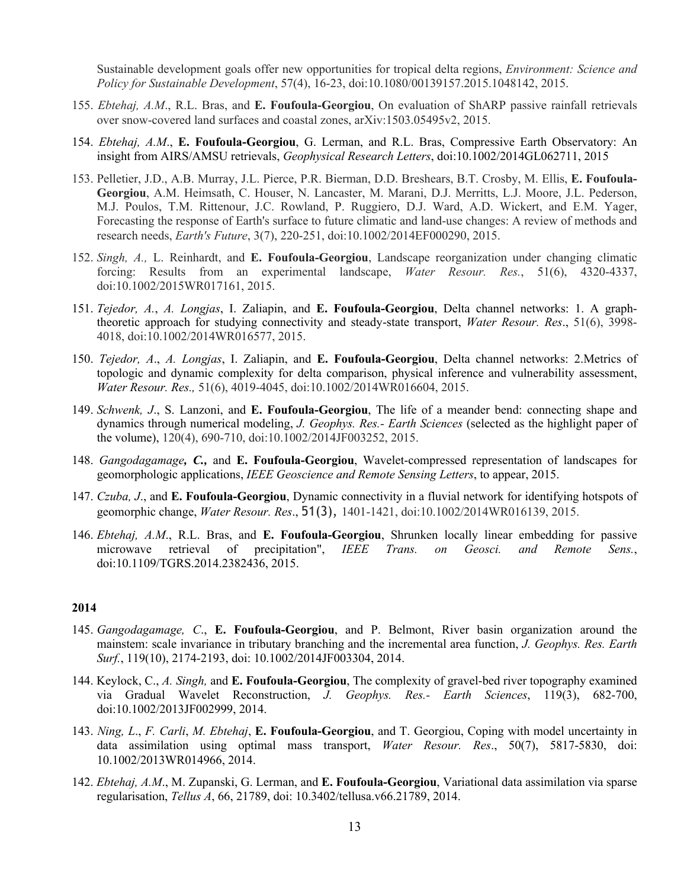Sustainable development goals offer new opportunities for tropical delta regions, *Environment: Science and Policy for Sustainable Development*, 57(4), 16-23, doi:10.1080/00139157.2015.1048142, 2015.

- 155. *Ebtehaj, A.M*., R.L. Bras, and **E. Foufoula-Georgiou**, On evaluation of ShARP passive rainfall retrievals over snow-covered land surfaces and coastal zones, arXiv:1503.05495v2, 2015.
- 154. *Ebtehaj, A.M*., **E. Foufoula-Georgiou**, G. Lerman, and R.L. Bras, Compressive Earth Observatory: An insight from AIRS/AMSU retrievals, *Geophysical Research Letters*, doi:10.1002/2014GL062711, 2015
- 153. Pelletier, J.D., A.B. Murray, J.L. Pierce, P.R. Bierman, D.D. Breshears, B.T. Crosby, M. Ellis, **E. Foufoula-Georgiou**, A.M. Heimsath, C. Houser, N. Lancaster, M. Marani, D.J. Merritts, L.J. Moore, J.L. Pederson, M.J. Poulos, T.M. Rittenour, J.C. Rowland, P. Ruggiero, D.J. Ward, A.D. Wickert, and E.M. Yager, Forecasting the response of Earth's surface to future climatic and land-use changes: A review of methods and research needs, *Earth's Future*, 3(7), 220-251, doi:10.1002/2014EF000290, 2015.
- 152. *Singh, A.,* L. Reinhardt, and **E. Foufoula-Georgiou**, Landscape reorganization under changing climatic forcing: Results from an experimental landscape, *Water Resour. Res.*, 51(6), 4320-4337, doi:10.1002/2015WR017161, 2015.
- 151. *Tejedor, A.*, *A. Longjas*, I. Zaliapin, and **E. Foufoula-Georgiou**, Delta channel networks: 1. A graphtheoretic approach for studying connectivity and steady-state transport, *Water Resour. Res*., 51(6), 3998- 4018, doi:10.1002/2014WR016577, 2015.
- 150. *Tejedor, A*., *A. Longjas*, I. Zaliapin, and **E. Foufoula-Georgiou**, Delta channel networks: 2.Metrics of topologic and dynamic complexity for delta comparison, physical inference and vulnerability assessment, *Water Resour. Res.,* 51(6), 4019-4045, doi:10.1002/2014WR016604, 2015.
- 149. *Schwenk, J*., S. Lanzoni, and **E. Foufoula-Georgiou**, The life of a meander bend: connecting shape and dynamics through numerical modeling, *J. Geophys. Res.- Earth Sciences* (selected as the highlight paper of the volume), 120(4), 690-710, doi:10.1002/2014JF003252, 2015.
- 148. *Gangodagamage, C.,* and **E. Foufoula-Georgiou**, Wavelet-compressed representation of landscapes for geomorphologic applications, *IEEE Geoscience and Remote Sensing Letters*, to appear, 2015.
- 147. *Czuba, J*., and **E. Foufoula-Georgiou**, Dynamic connectivity in a fluvial network for identifying hotspots of geomorphic change, *Water Resour. Res*., 51(3), 1401-1421, doi:10.1002/2014WR016139, 2015.
- 146. *Ebtehaj, A.M*., R.L. Bras, and **E. Foufoula-Georgiou**, Shrunken locally linear embedding for passive microwave retrieval of precipitation", *IEEE Trans. on Geosci. and Remote Sens.*, doi:10.1109/TGRS.2014.2382436, 2015.

- 145. *Gangodagamage, C*., **E. Foufoula-Georgiou**, and P. Belmont, River basin organization around the mainstem: scale invariance in tributary branching and the incremental area function, *J. Geophys. Res. Earth Surf.*, 119(10), 2174-2193, doi: 10.1002/2014JF003304, 2014.
- 144. Keylock, C., *A. Singh,* and **E. Foufoula-Georgiou**, The complexity of gravel-bed river topography examined via Gradual Wavelet Reconstruction, *J. Geophys. Res.- Earth Sciences*, 119(3), 682-700, doi:10.1002/2013JF002999, 2014.
- 143. *Ning, L*., *F. Carli*, *M. Ebtehaj*, **E. Foufoula-Georgiou**, and T. Georgiou, Coping with model uncertainty in data assimilation using optimal mass transport, *Water Resour. Res*., 50(7), 5817-5830, doi: 10.1002/2013WR014966, 2014.
- 142. *Ebtehaj, A.M*., M. Zupanski, G. Lerman, and **E. Foufoula-Georgiou**, Variational data assimilation via sparse regularisation, *Tellus A*, 66, 21789, doi: 10.3402/tellusa.v66.21789, 2014.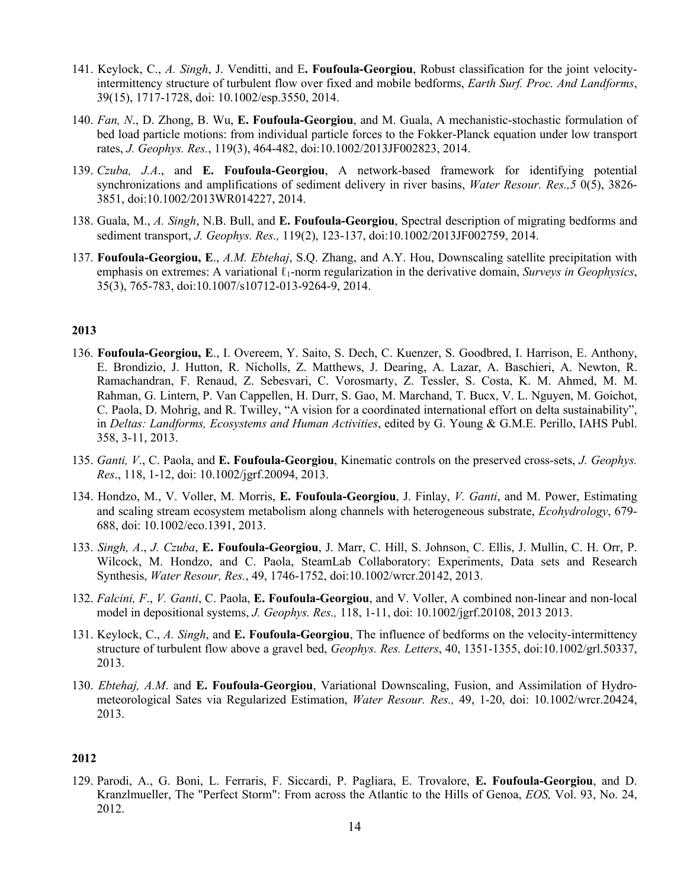- 141. Keylock, C., *A. Singh*, J. Venditti, and E**. Foufoula-Georgiou**, Robust classification for the joint velocityintermittency structure of turbulent flow over fixed and mobile bedforms, *Earth Surf. Proc. And Landforms*, 39(15), 1717-1728, doi: 10.1002/esp.3550, 2014.
- 140. *Fan, N*., D. Zhong, B. Wu, **E. Foufoula-Georgiou**, and M. Guala, A mechanistic-stochastic formulation of bed load particle motions: from individual particle forces to the Fokker-Planck equation under low transport rates, *J. Geophys. Res.*, 119(3), 464-482, doi:10.1002/2013JF002823, 2014.
- 139. *Czuba, J.A*., and **E. Foufoula-Georgiou**, A network-based framework for identifying potential synchronizations and amplifications of sediment delivery in river basins, *Water Resour. Res.,5* 0(5), 3826- 3851, doi:10.1002/2013WR014227, 2014.
- 138. Guala, M., *A. Singh*, N.B. Bull, and **E. Foufoula-Georgiou**, Spectral description of migrating bedforms and sediment transport, *J. Geophys. Res.,* 119(2), 123-137, doi:10.1002/2013JF002759, 2014.
- 137. **Foufoula-Georgiou, E**., *A.M. Ebtehaj*, S.Q. Zhang, and A.Y. Hou, Downscaling satellite precipitation with emphasis on extremes: A variational ℓ1-norm regularization in the derivative domain, *Surveys in Geophysics*, 35(3), 765-783, doi:10.1007/s10712-013-9264-9, 2014.

- 136. **Foufoula-Georgiou, E**., I. Overeem, Y. Saito, S. Dech, C. Kuenzer, S. Goodbred, I. Harrison, E. Anthony, E. Brondizio, J. Hutton, R. Nicholls, Z. Matthews, J. Dearing, A. Lazar, A. Baschieri, A. Newton, R. Ramachandran, F. Renaud, Z. Sebesvari, C. Vorosmarty, Z. Tessler, S. Costa, K. M. Ahmed, M. M. Rahman, G. Lintern, P. Van Cappellen, H. Durr, S. Gao, M. Marchand, T. Bucx, V. L. Nguyen, M. Goichot, C. Paola, D. Mohrig, and R. Twilley, "A vision for a coordinated international effort on delta sustainability", in *Deltas: Landforms, Ecosystems and Human Activities*, edited by G. Young & G.M.E. Perillo, IAHS Publ. 358, 3-11, 2013.
- 135. *Ganti, V*., C. Paola, and **E. Foufoula-Georgiou**, Kinematic controls on the preserved cross-sets, *J. Geophys. Res*., 118, 1-12, doi: 10.1002/jgrf.20094, 2013.
- 134. Hondzo, M., V. Voller, M. Morris, **E. Foufoula-Georgiou**, J. Finlay, *V. Ganti*, and M. Power, Estimating and scaling stream ecosystem metabolism along channels with heterogeneous substrate, *Ecohydrology*, 679- 688, doi: 10.1002/eco.1391, 2013.
- 133. *Singh, A*., *J. Czuba*, **E. Foufoula-Georgiou**, J. Marr, C. Hill, S. Johnson, C. Ellis, J. Mullin, C. H. Orr, P. Wilcock, M. Hondzo, and C. Paola, SteamLab Collaboratory: Experiments, Data sets and Research Synthesis, *Water Resour, Res.*, 49, 1746-1752, doi:10.1002/wrcr.20142, 2013.
- 132. *Falcini, F*., *V. Ganti*, C. Paola, **E. Foufoula-Georgiou**, and V. Voller, A combined non-linear and non-local model in depositional systems, *J. Geophys. Res.,* 118, 1-11, doi: 10.1002/jgrf.20108, 2013 2013.
- 131. Keylock, C., *A. Singh*, and **E. Foufoula-Georgiou**, The influence of bedforms on the velocity-intermittency structure of turbulent flow above a gravel bed, *Geophys. Res. Letters*, 40, 1351-1355, doi:10.1002/grl.50337, 2013.
- 130. *Ebtehaj, A.M*. and **E. Foufoula-Georgiou**, Variational Downscaling, Fusion, and Assimilation of Hydrometeorological Sates via Regularized Estimation, *Water Resour. Res.,* 49, 1-20, doi: 10.1002/wrcr.20424, 2013.

### **2012**

129. Parodi, A., G. Boni, L. Ferraris, F. Siccardi, P. Pagliara, E. Trovalore, **E. Foufoula-Georgiou**, and D. Kranzlmueller, The "Perfect Storm": From across the Atlantic to the Hills of Genoa, *EOS,* Vol. 93, No. 24, 2012.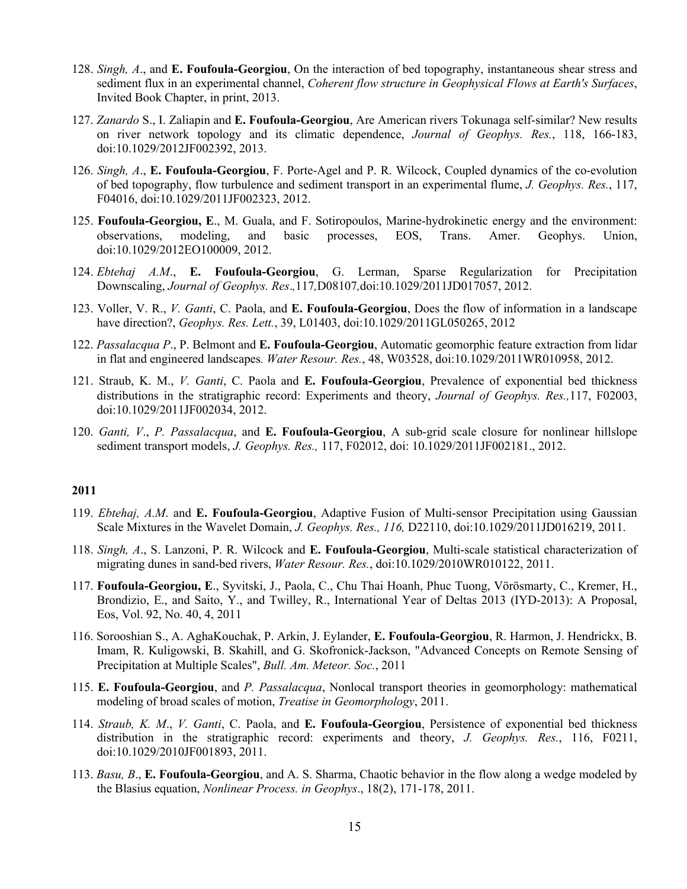- 128. *Singh, A*., and **E. Foufoula-Georgiou**, On the interaction of bed topography, instantaneous shear stress and sediment flux in an experimental channel, *Coherent flow structure in Geophysical Flows at Earth's Surfaces*, Invited Book Chapter, in print, 2013.
- 127. *Zanardo* S., I. Zaliapin and **E. Foufoula-Georgiou**, Are American rivers Tokunaga self-similar? New results on river network topology and its climatic dependence, *Journal of Geophys. Res.*, 118, 166-183, doi:10.1029/2012JF002392, 2013.
- 126. *Singh, A*., **E. Foufoula-Georgiou**, F. Porte-Agel and P. R. Wilcock, Coupled dynamics of the co-evolution of bed topography, flow turbulence and sediment transport in an experimental flume, *J. Geophys. Res.*, 117, F04016, doi:10.1029/2011JF002323, 2012.
- 125. **Foufoula-Georgiou, E**., M. Guala, and F. Sotiropoulos, Marine-hydrokinetic energy and the environment: observations, modeling, and basic processes, EOS, Trans. Amer. Geophys. Union, doi:10.1029/2012EO100009, 2012.
- 124. *Ebtehaj A.M*., **E. Foufoula-Georgiou**, G. Lerman, Sparse Regularization for Precipitation Downscaling, *Journal of Geophys. Res*.*,*117*,*D08107*,*doi:10.1029/2011JD017057, 2012.
- 123. Voller, V. R., *V. Ganti*, C. Paola, and **E. Foufoula-Georgiou**, Does the flow of information in a landscape have direction?, *Geophys. Res. Lett.*, 39, L01403, doi:10.1029/2011GL050265, 2012
- 122. *Passalacqua P*., P. Belmont and **E. Foufoula-Georgiou**, Automatic geomorphic feature extraction from lidar in flat and engineered landscapes*. Water Resour. Res.*, 48, W03528, doi:10.1029/2011WR010958, 2012.
- 121. Straub, K. M., *V. Ganti*, C. Paola and **E. Foufoula-Georgiou**, Prevalence of exponential bed thickness distributions in the stratigraphic record: Experiments and theory, *Journal of Geophys. Res.,*117, F02003, doi:10.1029/2011JF002034, 2012.
- 120. *Ganti, V*., *P. Passalacqua*, and **E. Foufoula-Georgiou**, A sub-grid scale closure for nonlinear hillslope sediment transport models, *J. Geophys. Res.,* 117, F02012, doi: 10.1029/2011JF002181., 2012.

- 119. *Ebtehaj, A.M*. and **E. Foufoula-Georgiou**, Adaptive Fusion of Multi-sensor Precipitation using Gaussian Scale Mixtures in the Wavelet Domain, *J. Geophys. Res., 116,* D22110, doi:10.1029/2011JD016219, 2011.
- 118. *Singh, A*., S. Lanzoni, P. R. Wilcock and **E. Foufoula-Georgiou**, Multi-scale statistical characterization of migrating dunes in sand-bed rivers, *Water Resour. Res.*, doi:10.1029/2010WR010122, 2011.
- 117. **Foufoula-Georgiou, E**., Syvitski, J., Paola, C., Chu Thai Hoanh, Phuc Tuong, Vörösmarty, C., Kremer, H., Brondizio, E., and Saito, Y., and Twilley, R., International Year of Deltas 2013 (IYD-2013): A Proposal, Eos, Vol. 92, No. 40, 4, 2011
- 116. Sorooshian S., A. AghaKouchak, P. Arkin, J. Eylander, **E. Foufoula-Georgiou**, R. Harmon, J. Hendrickx, B. Imam, R. Kuligowski, B. Skahill, and G. Skofronick-Jackson, "Advanced Concepts on Remote Sensing of Precipitation at Multiple Scales", *Bull. Am. Meteor. Soc.*, 2011
- 115. **E. Foufoula-Georgiou**, and *P. Passalacqua*, Nonlocal transport theories in geomorphology: mathematical modeling of broad scales of motion, *Treatise in Geomorphology*, 2011.
- 114. *Straub, K. M*., *V. Ganti*, C. Paola, and **E. Foufoula-Georgiou**, Persistence of exponential bed thickness distribution in the stratigraphic record: experiments and theory, *J. Geophys. Res.*, 116, F0211, doi:10.1029/2010JF001893, 2011.
- 113. *Basu, B*., **E. Foufoula-Georgiou**, and A. S. Sharma, Chaotic behavior in the flow along a wedge modeled by the Blasius equation, *Nonlinear Process. in Geophys*., 18(2), 171-178, 2011.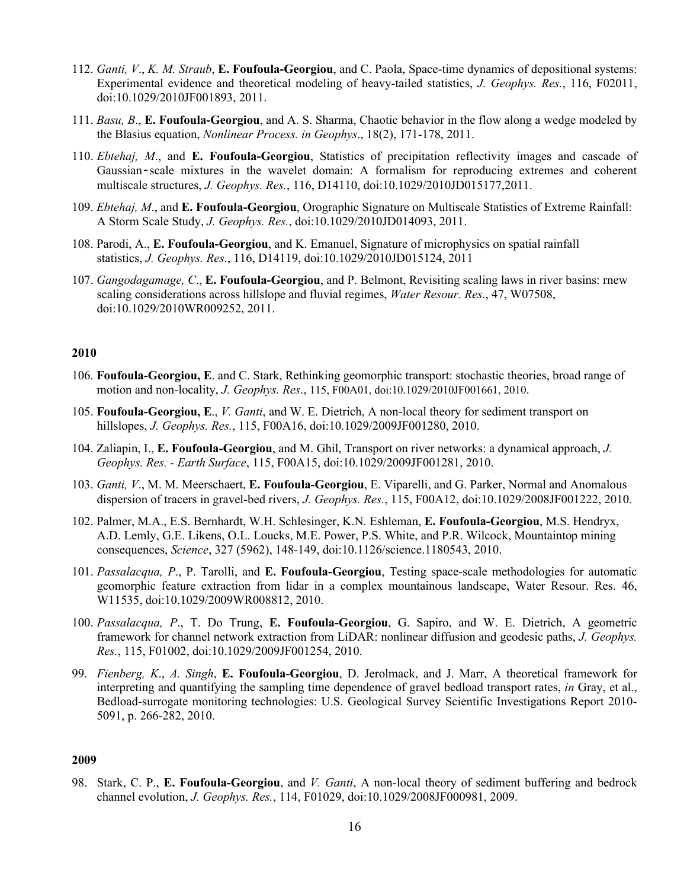- 112. *Ganti, V*., *K. M. Straub*, **E. Foufoula-Georgiou**, and C. Paola, Space-time dynamics of depositional systems: Experimental evidence and theoretical modeling of heavy-tailed statistics, *J. Geophys. Res.*, 116, F02011, doi:10.1029/2010JF001893, 2011.
- 111. *Basu, B*., **E. Foufoula-Georgiou**, and A. S. Sharma, Chaotic behavior in the flow along a wedge modeled by the Blasius equation, *Nonlinear Process. in Geophys*., 18(2), 171-178, 2011.
- 110. *Ebtehaj, M*., and **E. Foufoula-Georgiou**, Statistics of precipitation reflectivity images and cascade of Gaussian-scale mixtures in the wavelet domain: A formalism for reproducing extremes and coherent multiscale structures, *J. Geophys. Res.*, 116, D14110, doi:10.1029/2010JD015177,2011.
- 109. *Ebtehaj, M*., and **E. Foufoula-Georgiou**, Orographic Signature on Multiscale Statistics of Extreme Rainfall: A Storm Scale Study, *J. Geophys. Res.*, doi:10.1029/2010JD014093, 2011.
- 108. Parodi, A., **E. Foufoula-Georgiou**, and K. Emanuel, Signature of microphysics on spatial rainfall statistics, *J. Geophys. Res.*, 116, D14119, doi:10.1029/2010JD015124, 2011
- 107. *Gangodagamage, C*., **E. Foufoula-Georgiou**, and P. Belmont, Revisiting scaling laws in river basins: rnew scaling considerations across hillslope and fluvial regimes, *Water Resour. Res*., 47, W07508, doi:10.1029/2010WR009252, 2011.

- 106. **Foufoula-Georgiou, E**. and C. Stark, Rethinking geomorphic transport: stochastic theories, broad range of motion and non-locality, *J. Geophys. Res*., 115, F00A01, doi:10.1029/2010JF001661, 2010.
- 105. **Foufoula-Georgiou, E**., *V. Ganti*, and W. E. Dietrich, A non-local theory for sediment transport on hillslopes, *J. Geophys. Res.*, 115, F00A16, doi:10.1029/2009JF001280, 2010.
- 104. Zaliapin, I., **E. Foufoula-Georgiou**, and M. Ghil, Transport on river networks: a dynamical approach, *J. Geophys. Res. - Earth Surface*, 115, F00A15, doi:10.1029/2009JF001281, 2010.
- 103. *Ganti, V*., M. M. Meerschaert, **E. Foufoula-Georgiou**, E. Viparelli, and G. Parker, Normal and Anomalous dispersion of tracers in gravel-bed rivers, *J. Geophys. Res.*, 115, F00A12, doi:10.1029/2008JF001222, 2010.
- 102. Palmer, M.A., E.S. Bernhardt, W.H. Schlesinger, K.N. Eshleman, **E. Foufoula-Georgiou**, M.S. Hendryx, A.D. Lemly, G.E. Likens, O.L. Loucks, M.E. Power, P.S. White, and P.R. Wilcock, Mountaintop mining consequences, *Science*, 327 (5962), 148-149, doi:10.1126/science.1180543, 2010.
- 101. *Passalacqua, P*., P. Tarolli, and **E. Foufoula-Georgiou**, Testing space-scale methodologies for automatic geomorphic feature extraction from lidar in a complex mountainous landscape, Water Resour. Res. 46, W11535, doi:10.1029/2009WR008812, 2010.
- 100. *Passalacqua, P*., T. Do Trung, **E. Foufoula-Georgiou**, G. Sapiro, and W. E. Dietrich, A geometric framework for channel network extraction from LiDAR: nonlinear diffusion and geodesic paths, *J. Geophys. Res.*, 115, F01002, doi:10.1029/2009JF001254, 2010.
- 99. *Fienberg, K*., *A. Singh*, **E. Foufoula-Georgiou**, D. Jerolmack, and J. Marr, A theoretical framework for interpreting and quantifying the sampling time dependence of gravel bedload transport rates, *in* Gray, et al., Bedload-surrogate monitoring technologies: U.S. Geological Survey Scientific Investigations Report 2010- 5091, p. 266-282, 2010.

## **2009**

98. Stark, C. P., **E. Foufoula-Georgiou**, and *V. Ganti*, A non-local theory of sediment buffering and bedrock channel evolution, *J. Geophys. Res.*, 114, F01029, doi:10.1029/2008JF000981, 2009.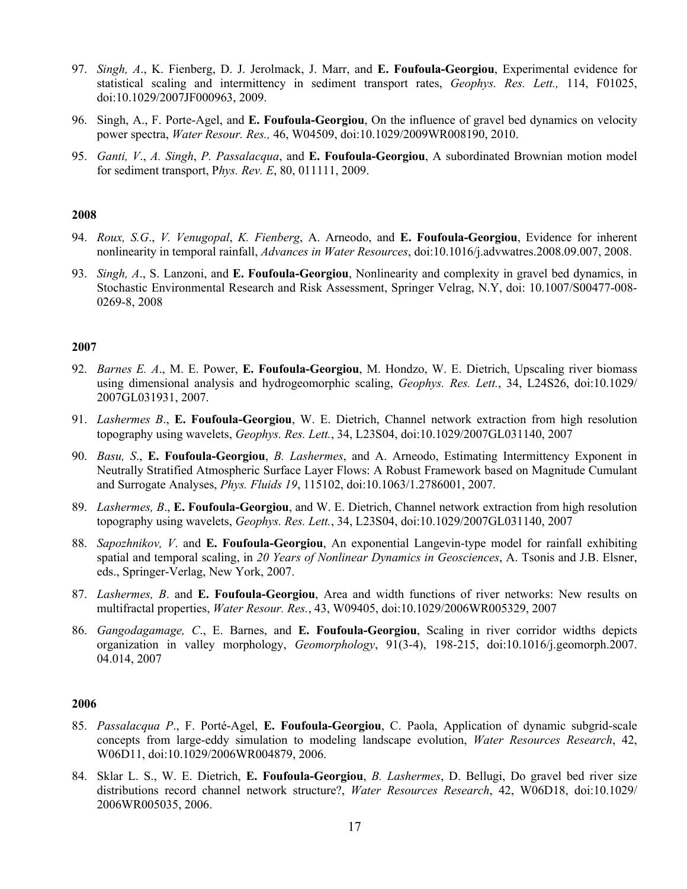- 97. *Singh, A*., K. Fienberg, D. J. Jerolmack, J. Marr, and **E. Foufoula-Georgiou**, Experimental evidence for statistical scaling and intermittency in sediment transport rates, *Geophys. Res. Lett.,* 114, F01025, doi:10.1029/2007JF000963, 2009.
- 96. Singh, A., F. Porte-Agel, and **E. Foufoula-Georgiou**, On the influence of gravel bed dynamics on velocity power spectra, *Water Resour. Res.,* 46, W04509, doi:10.1029/2009WR008190, 2010.
- 95. *Ganti, V*., *A. Singh*, *P. Passalacqua*, and **E. Foufoula-Georgiou**, A subordinated Brownian motion model for sediment transport, P*hys. Rev. E*, 80, 011111, 2009.

- 94. *Roux, S.G*., *V. Venugopal*, *K. Fienberg*, A. Arneodo, and **E. Foufoula-Georgiou**, Evidence for inherent nonlinearity in temporal rainfall, *Advances in Water Resources*, doi:10.1016/j.advwatres.2008.09.007, 2008.
- 93. *Singh, A*., S. Lanzoni, and **E. Foufoula-Georgiou**, Nonlinearity and complexity in gravel bed dynamics, in Stochastic Environmental Research and Risk Assessment, Springer Velrag, N.Y, doi: 10.1007/S00477-008- 0269-8, 2008

#### **2007**

- 92. *Barnes E. A*., M. E. Power, **E. Foufoula-Georgiou**, M. Hondzo, W. E. Dietrich, Upscaling river biomass using dimensional analysis and hydrogeomorphic scaling, *Geophys. Res. Lett.*, 34, L24S26, doi:10.1029/ 2007GL031931, 2007.
- 91. *Lashermes B*., **E. Foufoula-Georgiou**, W. E. Dietrich, Channel network extraction from high resolution topography using wavelets, *Geophys. Res. Lett.*, 34, L23S04, doi:10.1029/2007GL031140, 2007
- 90. *Basu, S*., **E. Foufoula-Georgiou**, *B. Lashermes*, and A. Arneodo, Estimating Intermittency Exponent in Neutrally Stratified Atmospheric Surface Layer Flows: A Robust Framework based on Magnitude Cumulant and Surrogate Analyses, *Phys. Fluids 19*, 115102, doi:10.1063/1.2786001, 2007.
- 89. *Lashermes, B*., **E. Foufoula-Georgiou**, and W. E. Dietrich, Channel network extraction from high resolution topography using wavelets, *Geophys. Res. Lett.*, 34, L23S04, doi:10.1029/2007GL031140, 2007
- 88. *Sapozhnikov, V*. and **E. Foufoula-Georgiou**, An exponential Langevin-type model for rainfall exhibiting spatial and temporal scaling, in *20 Years of Nonlinear Dynamics in Geosciences*, A. Tsonis and J.B. Elsner, eds., Springer-Verlag, New York, 2007.
- 87. *Lashermes, B*. and **E. Foufoula-Georgiou**, Area and width functions of river networks: New results on multifractal properties, *Water Resour. Res.*, 43, W09405, doi:10.1029/2006WR005329, 2007
- 86. *Gangodagamage, C*., E. Barnes, and **E. Foufoula-Georgiou**, Scaling in river corridor widths depicts organization in valley morphology, *Geomorphology*, 91(3-4), 198-215, doi:10.1016/j.geomorph.2007. 04.014, 2007

- 85. *Passalacqua P*., F. Porté-Agel, **E. Foufoula-Georgiou**, C. Paola, Application of dynamic subgrid-scale concepts from large-eddy simulation to modeling landscape evolution, *Water Resources Research*, 42, W06D11, doi:10.1029/2006WR004879, 2006.
- 84. Sklar L. S., W. E. Dietrich, **E. Foufoula-Georgiou**, *B. Lashermes*, D. Bellugi, Do gravel bed river size distributions record channel network structure?, *Water Resources Research*, 42, W06D18, doi:10.1029/ 2006WR005035, 2006.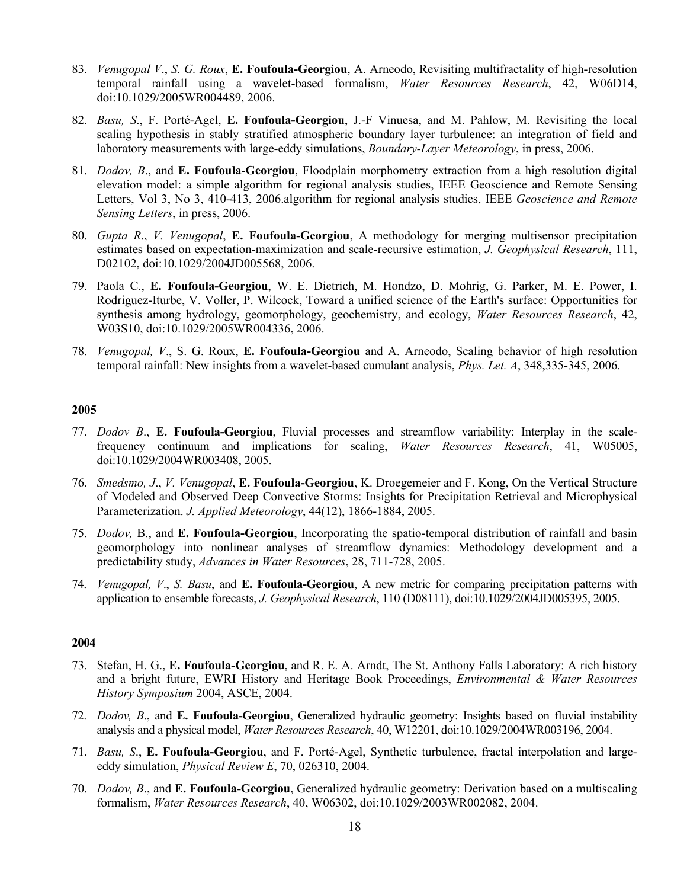- 83. *Venugopal V*., *S. G. Roux*, **E. Foufoula-Georgiou**, A. Arneodo, Revisiting multifractality of high-resolution temporal rainfall using a wavelet-based formalism, *Water Resources Research*, 42, W06D14, doi:10.1029/2005WR004489, 2006.
- 82. *Basu, S*., F. Porté-Agel, **E. Foufoula-Georgiou**, J.-F Vinuesa, and M. Pahlow, M. Revisiting the local scaling hypothesis in stably stratified atmospheric boundary layer turbulence: an integration of field and laboratory measurements with large-eddy simulations, *Boundary-Layer Meteorology*, in press, 2006.
- 81. *Dodov, B*., and **E. Foufoula-Georgiou**, Floodplain morphometry extraction from a high resolution digital elevation model: a simple algorithm for regional analysis studies, IEEE Geoscience and Remote Sensing Letters, Vol 3, No 3, 410-413, 2006.algorithm for regional analysis studies, IEEE *Geoscience and Remote Sensing Letters*, in press, 2006.
- 80. *Gupta R*., *V. Venugopal*, **E. Foufoula-Georgiou**, A methodology for merging multisensor precipitation estimates based on expectation-maximization and scale-recursive estimation, *J. Geophysical Research*, 111, D02102, doi:10.1029/2004JD005568, 2006.
- 79. Paola C., **E. Foufoula-Georgiou**, W. E. Dietrich, M. Hondzo, D. Mohrig, G. Parker, M. E. Power, I. Rodriguez-Iturbe, V. Voller, P. Wilcock, Toward a unified science of the Earth's surface: Opportunities for synthesis among hydrology, geomorphology, geochemistry, and ecology, *Water Resources Research*, 42, W03S10, doi:10.1029/2005WR004336, 2006.
- 78. *Venugopal, V*., S. G. Roux, **E. Foufoula-Georgiou** and A. Arneodo, Scaling behavior of high resolution temporal rainfall: New insights from a wavelet-based cumulant analysis, *Phys. Let. A*, 348,335-345, 2006.

- 77. *Dodov B*., **E. Foufoula-Georgiou**, Fluvial processes and streamflow variability: Interplay in the scalefrequency continuum and implications for scaling, *Water Resources Research*, 41, W05005, doi:10.1029/2004WR003408, 2005.
- 76. *Smedsmo, J*., *V. Venugopal*, **E. Foufoula-Georgiou**, K. Droegemeier and F. Kong, On the Vertical Structure of Modeled and Observed Deep Convective Storms: Insights for Precipitation Retrieval and Microphysical Parameterization. *J. Applied Meteorology*, 44(12), 1866-1884, 2005.
- 75. *Dodov,* B., and **E. Foufoula-Georgiou**, Incorporating the spatio-temporal distribution of rainfall and basin geomorphology into nonlinear analyses of streamflow dynamics: Methodology development and a predictability study, *Advances in Water Resources*, 28, 711-728, 2005.
- 74. *Venugopal, V*., *S. Basu*, and **E. Foufoula-Georgiou**, A new metric for comparing precipitation patterns with application to ensemble forecasts, *J. Geophysical Research*, 110 (D08111), doi:10.1029/2004JD005395, 2005.

- 73. Stefan, H. G., **E. Foufoula-Georgiou**, and R. E. A. Arndt, The St. Anthony Falls Laboratory: A rich history and a bright future, EWRI History and Heritage Book Proceedings, *Environmental & Water Resources History Symposium* 2004, ASCE, 2004.
- 72. *Dodov, B*., and **E. Foufoula-Georgiou**, Generalized hydraulic geometry: Insights based on fluvial instability analysis and a physical model, *Water Resources Research*, 40, W12201, doi:10.1029/2004WR003196, 2004.
- 71. *Basu, S*., **E. Foufoula-Georgiou**, and F. Porté-Agel, Synthetic turbulence, fractal interpolation and largeeddy simulation, *Physical Review E*, 70, 026310, 2004.
- 70. *Dodov, B*., and **E. Foufoula-Georgiou**, Generalized hydraulic geometry: Derivation based on a multiscaling formalism, *Water Resources Research*, 40, W06302, doi:10.1029/2003WR002082, 2004.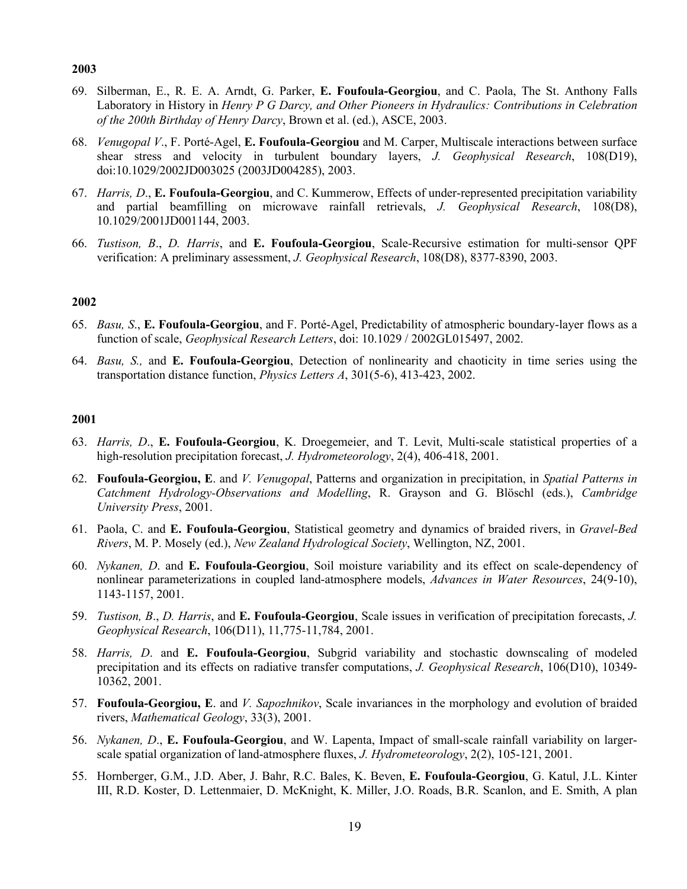- 69. Silberman, E., R. E. A. Arndt, G. Parker, **E. Foufoula-Georgiou**, and C. Paola, The St. Anthony Falls Laboratory in History in *Henry P G Darcy, and Other Pioneers in Hydraulics: Contributions in Celebration of the 200th Birthday of Henry Darcy*, Brown et al. (ed.), ASCE, 2003.
- 68. *Venugopal V*., F. Porté-Agel, **E. Foufoula-Georgiou** and M. Carper, Multiscale interactions between surface shear stress and velocity in turbulent boundary layers, *J. Geophysical Research*, 108(D19), doi:10.1029/2002JD003025 (2003JD004285), 2003.
- 67. *Harris, D*., **E. Foufoula-Georgiou**, and C. Kummerow, Effects of under-represented precipitation variability and partial beamfilling on microwave rainfall retrievals, *J. Geophysical Research*, 108(D8), 10.1029/2001JD001144, 2003.
- 66. *Tustison, B*., *D. Harris*, and **E. Foufoula-Georgiou**, Scale-Recursive estimation for multi-sensor QPF verification: A preliminary assessment, *J. Geophysical Research*, 108(D8), 8377-8390, 2003.

## **2002**

- 65. *Basu, S*., **E. Foufoula-Georgiou**, and F. Porté-Agel, Predictability of atmospheric boundary-layer flows as a function of scale, *Geophysical Research Letters*, doi: 10.1029 / 2002GL015497, 2002.
- 64. *Basu, S.,* and **E. Foufoula-Georgiou**, Detection of nonlinearity and chaoticity in time series using the transportation distance function, *Physics Letters A*, 301(5-6), 413-423, 2002.

- 63. *Harris, D*., **E. Foufoula-Georgiou**, K. Droegemeier, and T. Levit, Multi-scale statistical properties of a high-resolution precipitation forecast, *J. Hydrometeorology*, 2(4), 406-418, 2001.
- 62. **Foufoula-Georgiou, E**. and *V. Venugopal*, Patterns and organization in precipitation, in *Spatial Patterns in Catchment Hydrology-Observations and Modelling*, R. Grayson and G. Blöschl (eds.), *Cambridge University Press*, 2001.
- 61. Paola, C. and **E. Foufoula-Georgiou**, Statistical geometry and dynamics of braided rivers, in *Gravel-Bed Rivers*, M. P. Mosely (ed.), *New Zealand Hydrological Society*, Wellington, NZ, 2001.
- 60. *Nykanen, D*. and **E. Foufoula-Georgiou**, Soil moisture variability and its effect on scale-dependency of nonlinear parameterizations in coupled land-atmosphere models, *Advances in Water Resources*, 24(9-10), 1143-1157, 2001.
- 59. *Tustison, B*., *D. Harris*, and **E. Foufoula-Georgiou**, Scale issues in verification of precipitation forecasts, *J. Geophysical Research*, 106(D11), 11,775-11,784, 2001.
- 58. *Harris, D*. and **E. Foufoula-Georgiou**, Subgrid variability and stochastic downscaling of modeled precipitation and its effects on radiative transfer computations, *J. Geophysical Research*, 106(D10), 10349- 10362, 2001.
- 57. **Foufoula-Georgiou, E**. and *V. Sapozhnikov*, Scale invariances in the morphology and evolution of braided rivers, *Mathematical Geology*, 33(3), 2001.
- 56. *Nykanen, D*., **E. Foufoula-Georgiou**, and W. Lapenta, Impact of small-scale rainfall variability on largerscale spatial organization of land-atmosphere fluxes, *J. Hydrometeorology*, 2(2), 105-121, 2001.
- 55. Hornberger, G.M., J.D. Aber, J. Bahr, R.C. Bales, K. Beven, **E. Foufoula-Georgiou**, G. Katul, J.L. Kinter III, R.D. Koster, D. Lettenmaier, D. McKnight, K. Miller, J.O. Roads, B.R. Scanlon, and E. Smith, A plan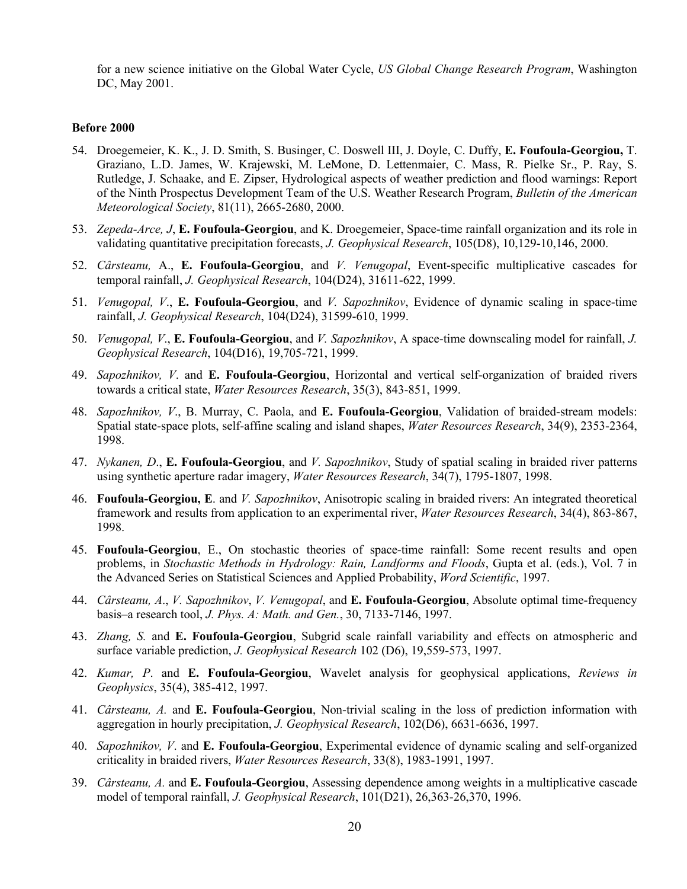for a new science initiative on the Global Water Cycle, *US Global Change Research Program*, Washington DC, May 2001.

#### **Before 2000**

- 54. Droegemeier, K. K., J. D. Smith, S. Businger, C. Doswell III, J. Doyle, C. Duffy, **E. Foufoula-Georgiou,** T. Graziano, L.D. James, W. Krajewski, M. LeMone, D. Lettenmaier, C. Mass, R. Pielke Sr., P. Ray, S. Rutledge, J. Schaake, and E. Zipser, Hydrological aspects of weather prediction and flood warnings: Report of the Ninth Prospectus Development Team of the U.S. Weather Research Program, *Bulletin of the American Meteorological Society*, 81(11), 2665-2680, 2000.
- 53. *Zepeda-Arce, J*, **E. Foufoula-Georgiou**, and K. Droegemeier, Space-time rainfall organization and its role in validating quantitative precipitation forecasts, *J. Geophysical Research*, 105(D8), 10,129-10,146, 2000.
- 52. *Cârsteanu,* A., **E. Foufoula-Georgiou**, and *V. Venugopal*, Event-specific multiplicative cascades for temporal rainfall, *J. Geophysical Research*, 104(D24), 31611-622, 1999.
- 51. *Venugopal, V*., **E. Foufoula-Georgiou**, and *V. Sapozhnikov*, Evidence of dynamic scaling in space-time rainfall, *J. Geophysical Research*, 104(D24), 31599-610, 1999.
- 50. *Venugopal, V*., **E. Foufoula-Georgiou**, and *V. Sapozhnikov*, A space-time downscaling model for rainfall, *J. Geophysical Research*, 104(D16), 19,705-721, 1999.
- 49. *Sapozhnikov, V*. and **E. Foufoula-Georgiou**, Horizontal and vertical self-organization of braided rivers towards a critical state, *Water Resources Research*, 35(3), 843-851, 1999.
- 48. *Sapozhnikov, V*., B. Murray, C. Paola, and **E. Foufoula-Georgiou**, Validation of braided-stream models: Spatial state-space plots, self-affine scaling and island shapes, *Water Resources Research*, 34(9), 2353-2364, 1998.
- 47. *Nykanen, D*., **E. Foufoula-Georgiou**, and *V. Sapozhnikov*, Study of spatial scaling in braided river patterns using synthetic aperture radar imagery, *Water Resources Research*, 34(7), 1795-1807, 1998.
- 46. **Foufoula-Georgiou, E**. and *V. Sapozhnikov*, Anisotropic scaling in braided rivers: An integrated theoretical framework and results from application to an experimental river, *Water Resources Research*, 34(4), 863-867, 1998.
- 45. **Foufoula-Georgiou**, E., On stochastic theories of space-time rainfall: Some recent results and open problems, in *Stochastic Methods in Hydrology: Rain, Landforms and Floods*, Gupta et al. (eds.), Vol. 7 in the Advanced Series on Statistical Sciences and Applied Probability, *Word Scientific*, 1997.
- 44. *Cârsteanu, A*., *V. Sapozhnikov*, *V. Venugopal*, and **E. Foufoula-Georgiou**, Absolute optimal time-frequency basis–a research tool, *J. Phys. A: Math. and Gen.*, 30, 7133-7146, 1997.
- 43. *Zhang, S.* and **E. Foufoula-Georgiou**, Subgrid scale rainfall variability and effects on atmospheric and surface variable prediction, *J. Geophysical Research* 102 (D6), 19,559-573, 1997.
- 42. *Kumar, P*. and **E. Foufoula-Georgiou**, Wavelet analysis for geophysical applications, *Reviews in Geophysics*, 35(4), 385-412, 1997.
- 41. *Cârsteanu, A.* and **E. Foufoula-Georgiou**, Non-trivial scaling in the loss of prediction information with aggregation in hourly precipitation, *J. Geophysical Research*, 102(D6), 6631-6636, 1997.
- 40. *Sapozhnikov, V*. and **E. Foufoula-Georgiou**, Experimental evidence of dynamic scaling and self-organized criticality in braided rivers, *Water Resources Research*, 33(8), 1983-1991, 1997.
- 39. *Cârsteanu, A.* and **E. Foufoula-Georgiou**, Assessing dependence among weights in a multiplicative cascade model of temporal rainfall, *J. Geophysical Research*, 101(D21), 26,363-26,370, 1996.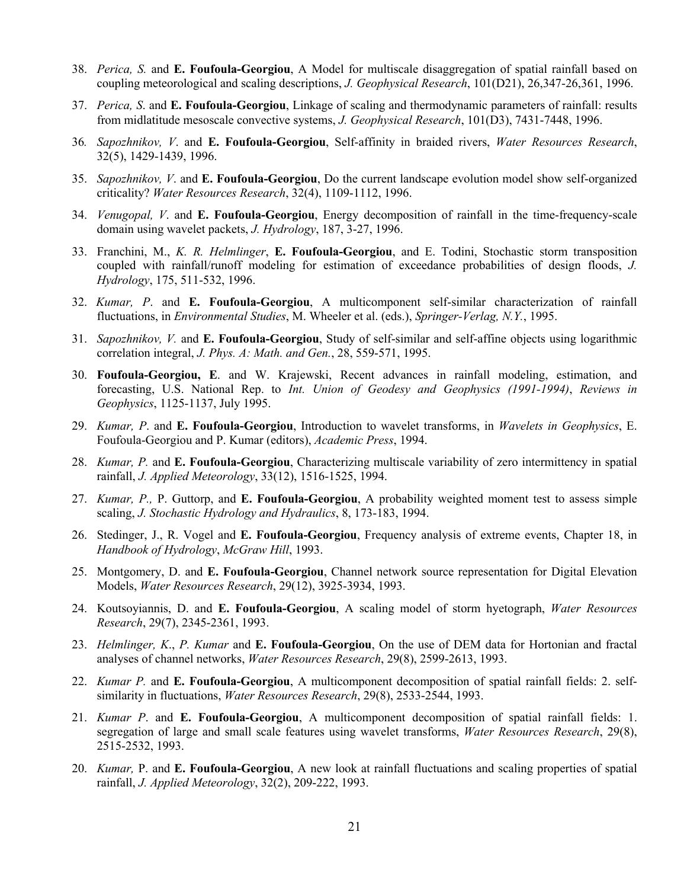- 38. *Perica, S.* and **E. Foufoula-Georgiou**, A Model for multiscale disaggregation of spatial rainfall based on coupling meteorological and scaling descriptions, *J. Geophysical Research*, 101(D21), 26,347-26,361, 1996.
- 37. *Perica, S*. and **E. Foufoula-Georgiou**, Linkage of scaling and thermodynamic parameters of rainfall: results from midlatitude mesoscale convective systems, *J. Geophysical Research*, 101(D3), 7431-7448, 1996.
- 36*. Sapozhnikov, V*. and **E. Foufoula-Georgiou**, Self-affinity in braided rivers, *Water Resources Research*, 32(5), 1429-1439, 1996.
- 35. *Sapozhnikov, V*. and **E. Foufoula-Georgiou**, Do the current landscape evolution model show self-organized criticality? *Water Resources Research*, 32(4), 1109-1112, 1996.
- 34. *Venugopal, V*. and **E. Foufoula-Georgiou**, Energy decomposition of rainfall in the time-frequency-scale domain using wavelet packets, *J. Hydrology*, 187, 3-27, 1996.
- 33. Franchini, M., *K. R. Helmlinger*, **E. Foufoula-Georgiou**, and E. Todini, Stochastic storm transposition coupled with rainfall/runoff modeling for estimation of exceedance probabilities of design floods, *J. Hydrology*, 175, 511-532, 1996.
- 32. *Kumar, P*. and **E. Foufoula-Georgiou**, A multicomponent self-similar characterization of rainfall fluctuations, in *Environmental Studies*, M. Wheeler et al. (eds.), *Springer-Verlag, N.Y.*, 1995.
- 31. *Sapozhnikov, V.* and **E. Foufoula-Georgiou**, Study of self-similar and self-affine objects using logarithmic correlation integral, *J. Phys. A: Math. and Gen.*, 28, 559-571, 1995.
- 30. **Foufoula-Georgiou, E**. and W. Krajewski, Recent advances in rainfall modeling, estimation, and forecasting, U.S. National Rep. to *Int. Union of Geodesy and Geophysics (1991-1994)*, *Reviews in Geophysics*, 1125-1137, July 1995.
- 29. *Kumar, P*. and **E. Foufoula-Georgiou**, Introduction to wavelet transforms, in *Wavelets in Geophysics*, E. Foufoula-Georgiou and P. Kumar (editors), *Academic Press*, 1994.
- 28. *Kumar, P.* and **E. Foufoula-Georgiou**, Characterizing multiscale variability of zero intermittency in spatial rainfall, *J. Applied Meteorology*, 33(12), 1516-1525, 1994.
- 27. *Kumar, P.,* P. Guttorp, and **E. Foufoula-Georgiou**, A probability weighted moment test to assess simple scaling, *J. Stochastic Hydrology and Hydraulics*, 8, 173-183, 1994.
- 26. Stedinger, J., R. Vogel and **E. Foufoula-Georgiou**, Frequency analysis of extreme events, Chapter 18, in *Handbook of Hydrology*, *McGraw Hill*, 1993.
- 25. Montgomery, D. and **E. Foufoula-Georgiou**, Channel network source representation for Digital Elevation Models, *Water Resources Research*, 29(12), 3925-3934, 1993.
- 24. Koutsoyiannis, D. and **E. Foufoula-Georgiou**, A scaling model of storm hyetograph, *Water Resources Research*, 29(7), 2345-2361, 1993.
- 23. *Helmlinger, K*., *P. Kumar* and **E. Foufoula-Georgiou**, On the use of DEM data for Hortonian and fractal analyses of channel networks, *Water Resources Research*, 29(8), 2599-2613, 1993.
- 22. *Kumar P.* and **E. Foufoula-Georgiou**, A multicomponent decomposition of spatial rainfall fields: 2. selfsimilarity in fluctuations, *Water Resources Research*, 29(8), 2533-2544, 1993.
- 21. *Kumar P*. and **E. Foufoula-Georgiou**, A multicomponent decomposition of spatial rainfall fields: 1. segregation of large and small scale features using wavelet transforms, *Water Resources Research*, 29(8), 2515-2532, 1993.
- 20. *Kumar,* P. and **E. Foufoula-Georgiou**, A new look at rainfall fluctuations and scaling properties of spatial rainfall, *J. Applied Meteorology*, 32(2), 209-222, 1993.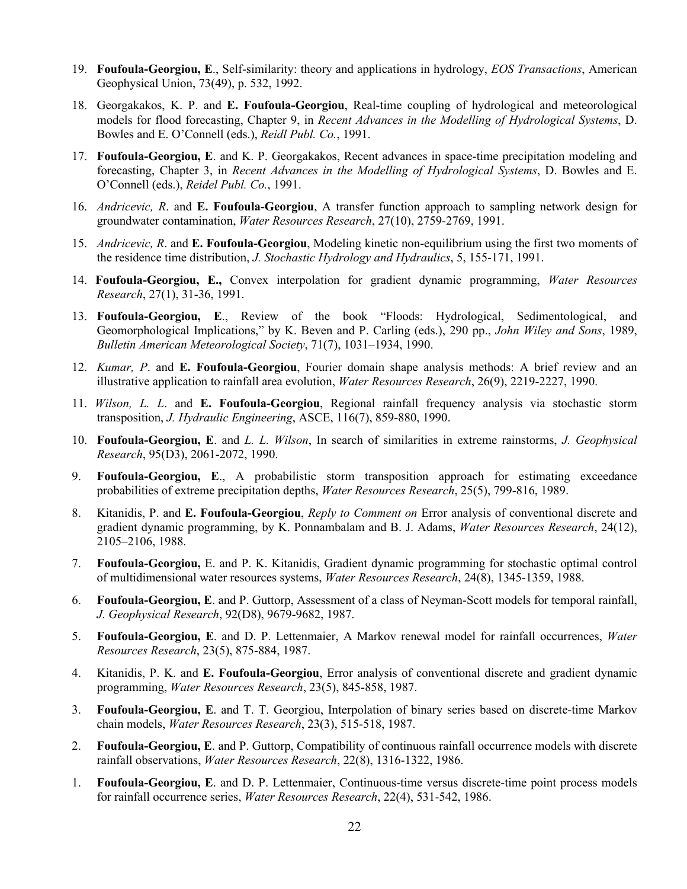- 19. **Foufoula-Georgiou, E**., Self-similarity: theory and applications in hydrology, *EOS Transactions*, American Geophysical Union, 73(49), p. 532, 1992.
- 18. Georgakakos, K. P. and **E. Foufoula-Georgiou**, Real-time coupling of hydrological and meteorological models for flood forecasting, Chapter 9, in *Recent Advances in the Modelling of Hydrological Systems*, D. Bowles and E. O'Connell (eds.), *Reidl Publ. Co.*, 1991.
- 17. **Foufoula-Georgiou, E**. and K. P. Georgakakos, Recent advances in space-time precipitation modeling and forecasting, Chapter 3, in *Recent Advances in the Modelling of Hydrological Systems*, D. Bowles and E. O'Connell (eds.), *Reidel Publ. Co.*, 1991.
- 16. *Andricevic, R*. and **E. Foufoula-Georgiou**, A transfer function approach to sampling network design for groundwater contamination, *Water Resources Research*, 27(10), 2759-2769, 1991.
- 15. *Andricevic, R*. and **E. Foufoula-Georgiou**, Modeling kinetic non-equilibrium using the first two moments of the residence time distribution, *J. Stochastic Hydrology and Hydraulics*, 5, 155-171, 1991.
- 14. **Foufoula-Georgiou, E.,** Convex interpolation for gradient dynamic programming, *Water Resources Research*, 27(1), 31-36, 1991.
- 13. **Foufoula-Georgiou, E**., Review of the book "Floods: Hydrological, Sedimentological, and Geomorphological Implications," by K. Beven and P. Carling (eds.), 290 pp., *John Wiley and Sons*, 1989, *Bulletin American Meteorological Society*, 71(7), 1031–1934, 1990.
- 12. *Kumar, P*. and **E. Foufoula-Georgiou**, Fourier domain shape analysis methods: A brief review and an illustrative application to rainfall area evolution, *Water Resources Research*, 26(9), 2219-2227, 1990.
- 11. *Wilson, L. L*. and **E. Foufoula-Georgiou**, Regional rainfall frequency analysis via stochastic storm transposition, *J. Hydraulic Engineering*, ASCE, 116(7), 859-880, 1990.
- 10. **Foufoula-Georgiou, E**. and *L. L. Wilson*, In search of similarities in extreme rainstorms, *J. Geophysical Research*, 95(D3), 2061-2072, 1990.
- 9. **Foufoula-Georgiou, E**., A probabilistic storm transposition approach for estimating exceedance probabilities of extreme precipitation depths, *Water Resources Research*, 25(5), 799-816, 1989.
- 8. Kitanidis, P. and **E. Foufoula-Georgiou**, *Reply to Comment on* Error analysis of conventional discrete and gradient dynamic programming, by K. Ponnambalam and B. J. Adams, *Water Resources Research*, 24(12), 2105–2106, 1988.
- 7. **Foufoula-Georgiou,** E. and P. K. Kitanidis, Gradient dynamic programming for stochastic optimal control of multidimensional water resources systems, *Water Resources Research*, 24(8), 1345-1359, 1988.
- 6. **Foufoula-Georgiou, E**. and P. Guttorp, Assessment of a class of Neyman-Scott models for temporal rainfall, *J. Geophysical Research*, 92(D8), 9679-9682, 1987.
- 5. **Foufoula-Georgiou, E**. and D. P. Lettenmaier, A Markov renewal model for rainfall occurrences, *Water Resources Research*, 23(5), 875-884, 1987.
- 4. Kitanidis, P. K. and **E. Foufoula-Georgiou**, Error analysis of conventional discrete and gradient dynamic programming, *Water Resources Research*, 23(5), 845-858, 1987.
- 3. **Foufoula-Georgiou, E**. and T. T. Georgiou, Interpolation of binary series based on discrete-time Markov chain models, *Water Resources Research*, 23(3), 515-518, 1987.
- 2. **Foufoula-Georgiou, E**. and P. Guttorp, Compatibility of continuous rainfall occurrence models with discrete rainfall observations, *Water Resources Research*, 22(8), 1316-1322, 1986.
- 1. **Foufoula-Georgiou, E**. and D. P. Lettenmaier, Continuous-time versus discrete-time point process models for rainfall occurrence series, *Water Resources Research*, 22(4), 531-542, 1986.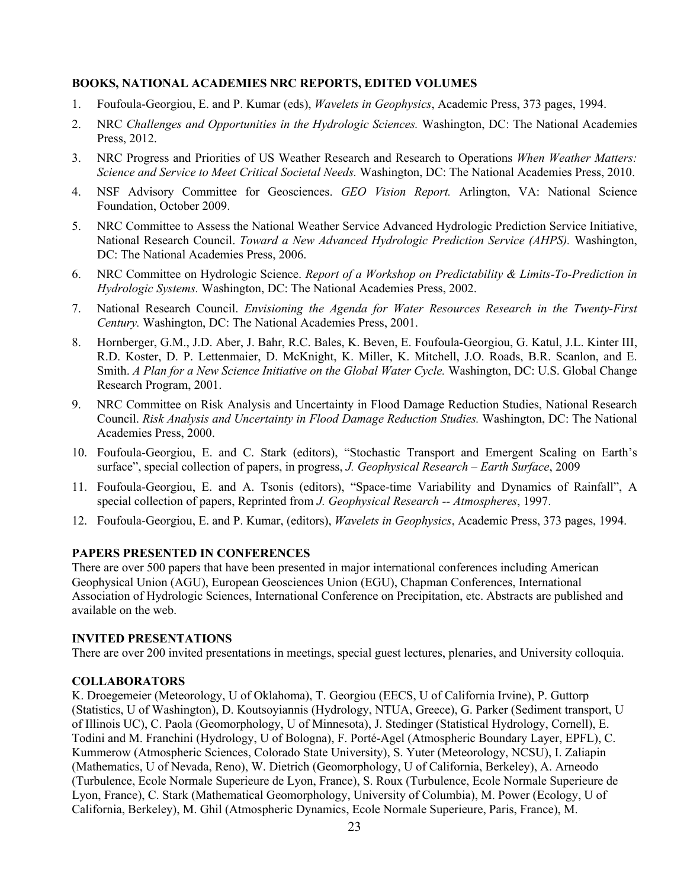# **BOOKS, NATIONAL ACADEMIES NRC REPORTS, EDITED VOLUMES**

- 1. Foufoula-Georgiou, E. and P. Kumar (eds), *Wavelets in Geophysics*, Academic Press, 373 pages, 1994.
- 2. NRC *Challenges and Opportunities in the Hydrologic Sciences.* Washington, DC: The National Academies Press, 2012.
- 3. NRC Progress and Priorities of US Weather Research and Research to Operations *When Weather Matters: Science and Service to Meet Critical Societal Needs.* Washington, DC: The National Academies Press, 2010.
- 4. NSF Advisory Committee for Geosciences. *GEO Vision Report.* Arlington, VA: National Science Foundation, October 2009.
- 5. NRC Committee to Assess the National Weather Service Advanced Hydrologic Prediction Service Initiative, National Research Council. *Toward a New Advanced Hydrologic Prediction Service (AHPS).* Washington, DC: The National Academies Press, 2006.
- 6. NRC Committee on Hydrologic Science. *Report of a Workshop on Predictability & Limits-To-Prediction in Hydrologic Systems.* Washington, DC: The National Academies Press, 2002.
- 7. National Research Council. *Envisioning the Agenda for Water Resources Research in the Twenty-First Century.* Washington, DC: The National Academies Press, 2001.
- 8. Hornberger, G.M., J.D. Aber, J. Bahr, R.C. Bales, K. Beven, E. Foufoula-Georgiou, G. Katul, J.L. Kinter III, R.D. Koster, D. P. Lettenmaier, D. McKnight, K. Miller, K. Mitchell, J.O. Roads, B.R. Scanlon, and E. Smith. *A Plan for a New Science Initiative on the Global Water Cycle.* Washington, DC: U.S. Global Change Research Program, 2001.
- 9. NRC Committee on Risk Analysis and Uncertainty in Flood Damage Reduction Studies, National Research Council. *Risk Analysis and Uncertainty in Flood Damage Reduction Studies.* Washington, DC: The National Academies Press, 2000.
- 10. Foufoula-Georgiou, E. and C. Stark (editors), "Stochastic Transport and Emergent Scaling on Earth's surface", special collection of papers, in progress, *J. Geophysical Research – Earth Surface*, 2009
- 11. Foufoula-Georgiou, E. and A. Tsonis (editors), "Space-time Variability and Dynamics of Rainfall", A special collection of papers, Reprinted from *J. Geophysical Research -- Atmospheres*, 1997.
- 12. Foufoula-Georgiou, E. and P. Kumar, (editors), *Wavelets in Geophysics*, Academic Press, 373 pages, 1994.

## **PAPERS PRESENTED IN CONFERENCES**

There are over 500 papers that have been presented in major international conferences including American Geophysical Union (AGU), European Geosciences Union (EGU), Chapman Conferences, International Association of Hydrologic Sciences, International Conference on Precipitation, etc. Abstracts are published and available on the web.

## **INVITED PRESENTATIONS**

There are over 200 invited presentations in meetings, special guest lectures, plenaries, and University colloquia.

## **COLLABORATORS**

K. Droegemeier (Meteorology, U of Oklahoma), T. Georgiou (EECS, U of California Irvine), P. Guttorp (Statistics, U of Washington), D. Koutsoyiannis (Hydrology, NTUA, Greece), G. Parker (Sediment transport, U of Illinois UC), C. Paola (Geomorphology, U of Minnesota), J. Stedinger (Statistical Hydrology, Cornell), E. Todini and M. Franchini (Hydrology, U of Bologna), F. Porté-Agel (Atmospheric Boundary Layer, EPFL), C. Kummerow (Atmospheric Sciences, Colorado State University), S. Yuter (Meteorology, NCSU), I. Zaliapin (Mathematics, U of Nevada, Reno), W. Dietrich (Geomorphology, U of California, Berkeley), A. Arneodo (Turbulence, Ecole Normale Superieure de Lyon, France), S. Roux (Turbulence, Ecole Normale Superieure de Lyon, France), C. Stark (Mathematical Geomorphology, University of Columbia), M. Power (Ecology, U of California, Berkeley), M. Ghil (Atmospheric Dynamics, Ecole Normale Superieure, Paris, France), M.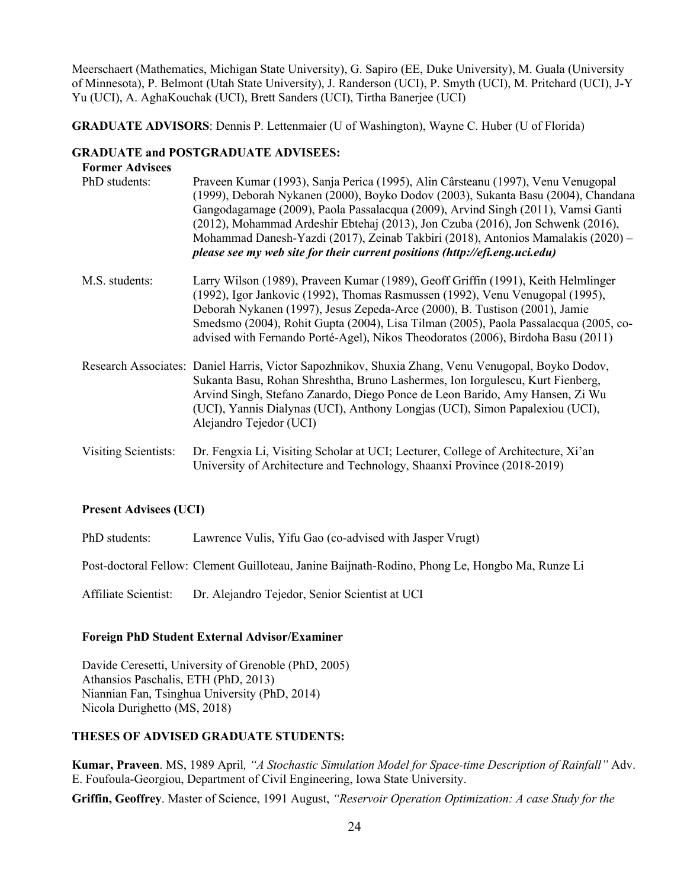Meerschaert (Mathematics, Michigan State University), G. Sapiro (EE, Duke University), M. Guala (University of Minnesota), P. Belmont (Utah State University), J. Randerson (UCI), P. Smyth (UCI), M. Pritchard (UCI), J-Y Yu (UCI), A. AghaKouchak (UCI), Brett Sanders (UCI), Tirtha Banerjee (UCI)

**GRADUATE ADVISORS**: Dennis P. Lettenmaier (U of Washington), Wayne C. Huber (U of Florida)

## **GRADUATE and POSTGRADUATE ADVISEES:**

| <b>Former Advisees</b> |                                                                                                                                                                                                                                                                                                                                                                                                                                                                                                                 |
|------------------------|-----------------------------------------------------------------------------------------------------------------------------------------------------------------------------------------------------------------------------------------------------------------------------------------------------------------------------------------------------------------------------------------------------------------------------------------------------------------------------------------------------------------|
| PhD students:          | Praveen Kumar (1993), Sanja Perica (1995), Alin Cârsteanu (1997), Venu Venugopal<br>(1999), Deborah Nykanen (2000), Boyko Dodov (2003), Sukanta Basu (2004), Chandana<br>Gangodagamage (2009), Paola Passalacqua (2009), Arvind Singh (2011), Vamsi Ganti<br>(2012), Mohammad Ardeshir Ebtehaj (2013), Jon Czuba (2016), Jon Schwenk (2016),<br>Mohammad Danesh-Yazdi (2017), Zeinab Takbiri (2018), Antonios Mamalakis (2020) –<br>please see my web site for their current positions (http://efi.eng.uci.edu) |
| M.S. students:         | Larry Wilson (1989), Praveen Kumar (1989), Geoff Griffin (1991), Keith Helmlinger<br>(1992), Igor Jankovic (1992), Thomas Rasmussen (1992), Venu Venugopal (1995),<br>Deborah Nykanen (1997), Jesus Zepeda-Arce (2000), B. Tustison (2001), Jamie<br>Smedsmo (2004), Rohit Gupta (2004), Lisa Tilman (2005), Paola Passalacqua (2005, co-<br>advised with Fernando Porté-Agel), Nikos Theodoratos (2006), Birdoha Basu (2011)                                                                                   |
|                        | Research Associates: Daniel Harris, Victor Sapozhnikov, Shuxia Zhang, Venu Venugopal, Boyko Dodov,<br>Sukanta Basu, Rohan Shreshtha, Bruno Lashermes, Ion Iorgulescu, Kurt Fienberg,<br>Arvind Singh, Stefano Zanardo, Diego Ponce de Leon Barido, Amy Hansen, Zi Wu<br>(UCI), Yannis Dialynas (UCI), Anthony Longjas (UCI), Simon Papalexiou (UCI),<br>Alejandro Tejedor (UCI)                                                                                                                                 |
| Visiting Scientists:   | Dr. Fengxia Li, Visiting Scholar at UCI; Lecturer, College of Architecture, Xi'an<br>University of Architecture and Technology, Shaanxi Province (2018-2019)                                                                                                                                                                                                                                                                                                                                                    |

## **Present Advisees (UCI)**

PhD students: Lawrence Vulis, Yifu Gao (co-advised with Jasper Vrugt)

Post-doctoral Fellow: Clement Guilloteau, Janine Baijnath-Rodino, Phong Le, Hongbo Ma, Runze Li

Affiliate Scientist: Dr. Alejandro Tejedor, Senior Scientist at UCI

## **Foreign PhD Student External Advisor/Examiner**

Davide Ceresetti, University of Grenoble (PhD, 2005) Athansios Paschalis, ETH (PhD, 2013) Niannian Fan, Tsinghua University (PhD, 2014) Nicola Durighetto (MS, 2018)

# **THESES OF ADVISED GRADUATE STUDENTS:**

**Kumar, Praveen**. MS, 1989 April*, "A Stochastic Simulation Model for Space-time Description of Rainfall"* Adv. E. Foufoula-Georgiou, Department of Civil Engineering, Iowa State University.

**Griffin, Geoffrey**. Master of Science, 1991 August, *"Reservoir Operation Optimization: A case Study for the*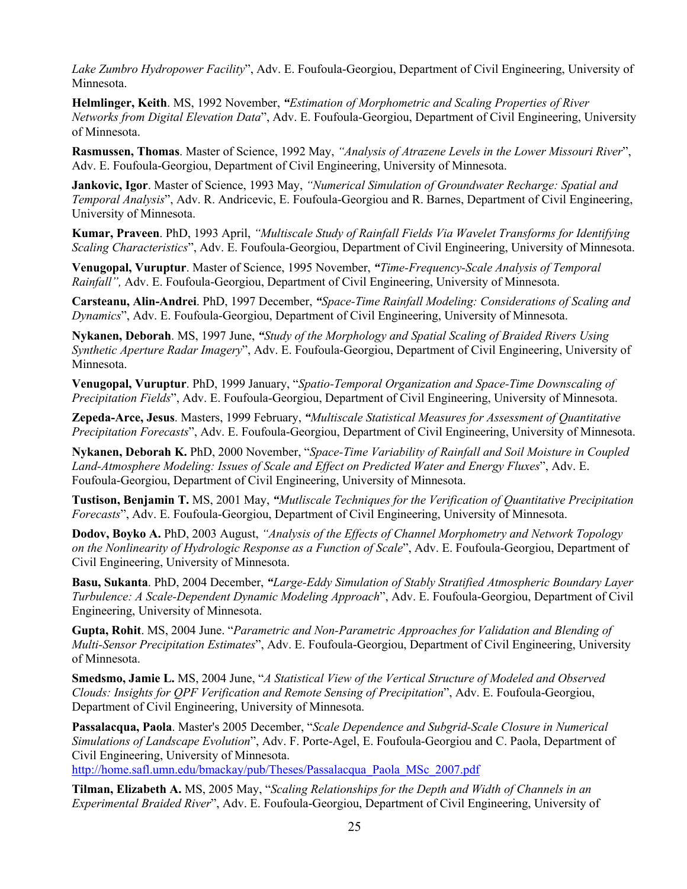*Lake Zumbro Hydropower Facility*", Adv. E. Foufoula-Georgiou, Department of Civil Engineering, University of Minnesota.

**Helmlinger, Keith**. MS, 1992 November, *"Estimation of Morphometric and Scaling Properties of River Networks from Digital Elevation Data*", Adv. E. Foufoula-Georgiou, Department of Civil Engineering, University of Minnesota.

**Rasmussen, Thomas**. Master of Science, 1992 May, *"Analysis of Atrazene Levels in the Lower Missouri River*", Adv. E. Foufoula-Georgiou, Department of Civil Engineering, University of Minnesota.

**Jankovic, Igor**. Master of Science, 1993 May, *"Numerical Simulation of Groundwater Recharge: Spatial and Temporal Analysis*", Adv. R. Andricevic, E. Foufoula-Georgiou and R. Barnes, Department of Civil Engineering, University of Minnesota.

**Kumar, Praveen**. PhD, 1993 April, *"Multiscale Study of Rainfall Fields Via Wavelet Transforms for Identifying Scaling Characteristics*", Adv. E. Foufoula-Georgiou, Department of Civil Engineering, University of Minnesota.

**Venugopal, Vuruptur**. Master of Science, 1995 November, *"Time-Frequency-Scale Analysis of Temporal Rainfall",* Adv. E. Foufoula-Georgiou, Department of Civil Engineering, University of Minnesota.

**Carsteanu, Alin-Andrei**. PhD, 1997 December, *"Space-Time Rainfall Modeling: Considerations of Scaling and Dynamics*", Adv. E. Foufoula-Georgiou, Department of Civil Engineering, University of Minnesota.

**Nykanen, Deborah**. MS, 1997 June, *"Study of the Morphology and Spatial Scaling of Braided Rivers Using Synthetic Aperture Radar Imagery*", Adv. E. Foufoula-Georgiou, Department of Civil Engineering, University of Minnesota.

**Venugopal, Vuruptur**. PhD, 1999 January, "*Spatio-Temporal Organization and Space-Time Downscaling of Precipitation Fields*", Adv. E. Foufoula-Georgiou, Department of Civil Engineering, University of Minnesota.

**Zepeda-Arce, Jesus**. Masters, 1999 February, *"Multiscale Statistical Measures for Assessment of Quantitative Precipitation Forecasts*", Adv. E. Foufoula-Georgiou, Department of Civil Engineering, University of Minnesota.

**Nykanen, Deborah K.** PhD, 2000 November, "*Space-Time Variability of Rainfall and Soil Moisture in Coupled Land-Atmosphere Modeling: Issues of Scale and Effect on Predicted Water and Energy Fluxes*", Adv. E. Foufoula-Georgiou, Department of Civil Engineering, University of Minnesota.

**Tustison, Benjamin T.** MS, 2001 May, *"Mutliscale Techniques for the Verification of Quantitative Precipitation Forecasts*", Adv. E. Foufoula-Georgiou, Department of Civil Engineering, University of Minnesota.

**Dodov, Boyko A.** PhD, 2003 August, *"Analysis of the Effects of Channel Morphometry and Network Topology on the Nonlinearity of Hydrologic Response as a Function of Scale*", Adv. E. Foufoula-Georgiou, Department of Civil Engineering, University of Minnesota.

**Basu, Sukanta**. PhD, 2004 December, *"Large-Eddy Simulation of Stably Stratified Atmospheric Boundary Layer Turbulence: A Scale-Dependent Dynamic Modeling Approach*", Adv. E. Foufoula-Georgiou, Department of Civil Engineering, University of Minnesota.

**Gupta, Rohit**. MS, 2004 June. "*Parametric and Non-Parametric Approaches for Validation and Blending of Multi-Sensor Precipitation Estimates*", Adv. E. Foufoula-Georgiou, Department of Civil Engineering, University of Minnesota.

**Smedsmo, Jamie L.** MS, 2004 June, "*A Statistical View of the Vertical Structure of Modeled and Observed Clouds: Insights for QPF Verification and Remote Sensing of Precipitation*", Adv. E. Foufoula-Georgiou, Department of Civil Engineering, University of Minnesota.

**Passalacqua, Paola**. Master's 2005 December, "*Scale Dependence and Subgrid-Scale Closure in Numerical Simulations of Landscape Evolution*", Adv. F. Porte-Agel, E. Foufoula-Georgiou and C. Paola, Department of Civil Engineering, University of Minnesota.

http://home.safl.umn.edu/bmackay/pub/Theses/Passalacqua\_Paola\_MSc\_2007.pdf

**Tilman, Elizabeth A.** MS, 2005 May, "*Scaling Relationships for the Depth and Width of Channels in an Experimental Braided River*", Adv. E. Foufoula-Georgiou, Department of Civil Engineering, University of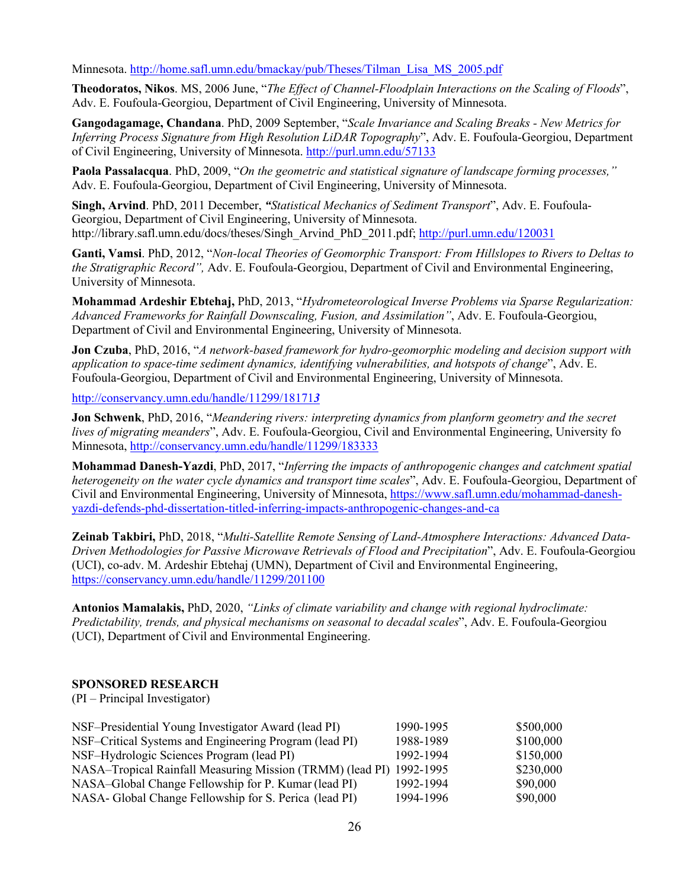Minnesota. http://home.safl.umn.edu/bmackay/pub/Theses/Tilman\_Lisa\_MS\_2005.pdf

**Theodoratos, Nikos**. MS, 2006 June, "*The Effect of Channel-Floodplain Interactions on the Scaling of Floods*", Adv. E. Foufoula-Georgiou, Department of Civil Engineering, University of Minnesota.

**Gangodagamage, Chandana**. PhD, 2009 September, "*Scale Invariance and Scaling Breaks - New Metrics for Inferring Process Signature from High Resolution LiDAR Topography*", Adv. E. Foufoula-Georgiou, Department of Civil Engineering, University of Minnesota. http://purl.umn.edu/57133

**Paola Passalacqua**. PhD, 2009, "*On the geometric and statistical signature of landscape forming processes,"* Adv. E. Foufoula-Georgiou, Department of Civil Engineering, University of Minnesota.

**Singh, Arvind**. PhD, 2011 December, *"Statistical Mechanics of Sediment Transport*", Adv. E. Foufoula-Georgiou, Department of Civil Engineering, University of Minnesota. http://library.safl.umn.edu/docs/theses/Singh\_Arvind\_PhD\_2011.pdf; http://purl.umn.edu/120031

**Ganti, Vamsi**. PhD, 2012, "*Non-local Theories of Geomorphic Transport: From Hillslopes to Rivers to Deltas to the Stratigraphic Record",* Adv. E. Foufoula-Georgiou, Department of Civil and Environmental Engineering, University of Minnesota.

**Mohammad Ardeshir Ebtehaj,** PhD, 2013, "*Hydrometeorological Inverse Problems via Sparse Regularization: Advanced Frameworks for Rainfall Downscaling, Fusion, and Assimilation"*, Adv. E. Foufoula-Georgiou, Department of Civil and Environmental Engineering, University of Minnesota.

**Jon Czuba**, PhD, 2016, "*A network-based framework for hydro-geomorphic modeling and decision support with application to space-time sediment dynamics, identifying vulnerabilities, and hotspots of change*", Adv. E. Foufoula-Georgiou, Department of Civil and Environmental Engineering, University of Minnesota.

http://conservancy.umn.edu/handle/11299/18171*3*

**Jon Schwenk**, PhD, 2016, "*Meandering rivers: interpreting dynamics from planform geometry and the secret lives of migrating meanders*", Adv. E. Foufoula-Georgiou, Civil and Environmental Engineering, University fo Minnesota, http://conservancy.umn.edu/handle/11299/183333

**Mohammad Danesh-Yazdi**, PhD, 2017, "*Inferring the impacts of anthropogenic changes and catchment spatial heterogeneity on the water cycle dynamics and transport time scales*", Adv. E. Foufoula-Georgiou, Department of Civil and Environmental Engineering, University of Minnesota, https://www.safl.umn.edu/mohammad-daneshyazdi-defends-phd-dissertation-titled-inferring-impacts-anthropogenic-changes-and-ca

**Zeinab Takbiri,** PhD, 2018, "*Multi-Satellite Remote Sensing of Land-Atmosphere Interactions: Advanced Data-Driven Methodologies for Passive Microwave Retrievals of Flood and Precipitation*", Adv. E. Foufoula-Georgiou (UCI), co-adv. M. Ardeshir Ebtehaj (UMN), Department of Civil and Environmental Engineering, https://conservancy.umn.edu/handle/11299/201100

**Antonios Mamalakis,** PhD, 2020, *"Links of climate variability and change with regional hydroclimate: Predictability, trends, and physical mechanisms on seasonal to decadal scales*", Adv. E. Foufoula-Georgiou (UCI), Department of Civil and Environmental Engineering.

## **SPONSORED RESEARCH**

(PI – Principal Investigator)

| NSF-Presidential Young Investigator Award (lead PI)                 | 1990-1995 | \$500,000 |
|---------------------------------------------------------------------|-----------|-----------|
| NSF-Critical Systems and Engineering Program (lead PI)              | 1988-1989 | \$100,000 |
| NSF-Hydrologic Sciences Program (lead PI)                           | 1992-1994 | \$150,000 |
| NASA-Tropical Rainfall Measuring Mission (TRMM) (lead PI) 1992-1995 |           | \$230,000 |
| NASA-Global Change Fellowship for P. Kumar (lead PI)                | 1992-1994 | \$90,000  |
| NASA-Global Change Fellowship for S. Perica (lead PI)               | 1994-1996 | \$90,000  |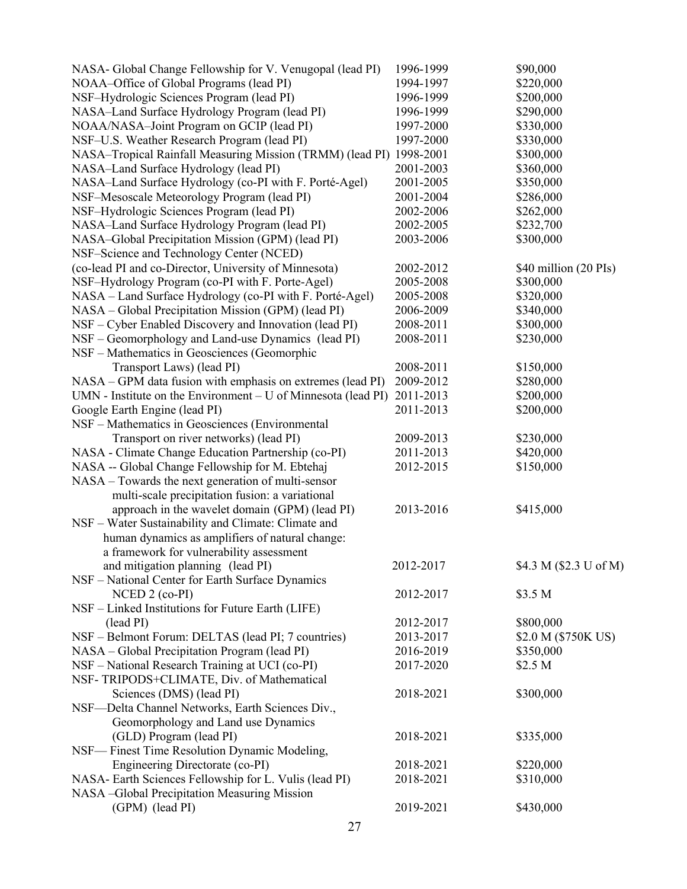| NASA- Global Change Fellowship for V. Venugopal (lead PI)           | 1996-1999 | \$90,000               |
|---------------------------------------------------------------------|-----------|------------------------|
| NOAA-Office of Global Programs (lead PI)                            | 1994-1997 | \$220,000              |
| NSF-Hydrologic Sciences Program (lead PI)                           | 1996-1999 | \$200,000              |
| NASA-Land Surface Hydrology Program (lead PI)                       | 1996-1999 | \$290,000              |
| NOAA/NASA-Joint Program on GCIP (lead PI)                           | 1997-2000 | \$330,000              |
| NSF-U.S. Weather Research Program (lead PI)                         | 1997-2000 | \$330,000              |
| NASA-Tropical Rainfall Measuring Mission (TRMM) (lead PI) 1998-2001 |           | \$300,000              |
| NASA-Land Surface Hydrology (lead PI)                               | 2001-2003 | \$360,000              |
| NASA-Land Surface Hydrology (co-PI with F. Porté-Agel)              | 2001-2005 | \$350,000              |
| NSF-Mesoscale Meteorology Program (lead PI)                         | 2001-2004 | \$286,000              |
| NSF-Hydrologic Sciences Program (lead PI)                           | 2002-2006 | \$262,000              |
| NASA-Land Surface Hydrology Program (lead PI)                       | 2002-2005 | \$232,700              |
| NASA-Global Precipitation Mission (GPM) (lead PI)                   | 2003-2006 | \$300,000              |
| NSF-Science and Technology Center (NCED)                            |           |                        |
| (co-lead PI and co-Director, University of Minnesota)               | 2002-2012 | \$40 million (20 PIs)  |
|                                                                     | 2005-2008 | \$300,000              |
| NSF-Hydrology Program (co-PI with F. Porte-Agel)                    |           |                        |
| NASA - Land Surface Hydrology (co-PI with F. Porté-Agel)            | 2005-2008 | \$320,000              |
| NASA – Global Precipitation Mission (GPM) (lead PI)                 | 2006-2009 | \$340,000              |
| NSF - Cyber Enabled Discovery and Innovation (lead PI)              | 2008-2011 | \$300,000              |
| NSF – Geomorphology and Land-use Dynamics (lead PI)                 | 2008-2011 | \$230,000              |
| NSF - Mathematics in Geosciences (Geomorphic                        |           |                        |
| Transport Laws) (lead PI)                                           | 2008-2011 | \$150,000              |
| NASA - GPM data fusion with emphasis on extremes (lead PI)          | 2009-2012 | \$280,000              |
| UMN - Institute on the Environment $-$ U of Minnesota (lead PI)     | 2011-2013 | \$200,000              |
| Google Earth Engine (lead PI)                                       | 2011-2013 | \$200,000              |
| NSF - Mathematics in Geosciences (Environmental                     |           |                        |
| Transport on river networks) (lead PI)                              | 2009-2013 | \$230,000              |
| NASA - Climate Change Education Partnership (co-PI)                 | 2011-2013 | \$420,000              |
| NASA -- Global Change Fellowship for M. Ebtehaj                     | 2012-2015 | \$150,000              |
| NASA – Towards the next generation of multi-sensor                  |           |                        |
| multi-scale precipitation fusion: a variational                     |           |                        |
| approach in the wavelet domain (GPM) (lead PI)                      | 2013-2016 | \$415,000              |
| NSF - Water Sustainability and Climate: Climate and                 |           |                        |
| human dynamics as amplifiers of natural change:                     |           |                        |
| a framework for vulnerability assessment                            |           |                        |
| and mitigation planning (lead PI)                                   | 2012-2017 | \$4.3 M (\$2.3 U of M) |
| NSF - National Center for Earth Surface Dynamics                    |           |                        |
| NCED 2 (co-PI)                                                      | 2012-2017 | \$3.5 M                |
| NSF - Linked Institutions for Future Earth (LIFE)                   |           |                        |
| (lead PI)                                                           | 2012-2017 | \$800,000              |
| NSF - Belmont Forum: DELTAS (lead PI; 7 countries)                  | 2013-2017 | \$2.0 M (\$750K US)    |
| NASA – Global Precipitation Program (lead PI)                       | 2016-2019 | \$350,000              |
| NSF - National Research Training at UCI (co-PI)                     | 2017-2020 | \$2.5 <sub>M</sub>     |
| NSF-TRIPODS+CLIMATE, Div. of Mathematical                           |           |                        |
| Sciences (DMS) (lead PI)                                            | 2018-2021 | \$300,000              |
| NSF-Delta Channel Networks, Earth Sciences Div.,                    |           |                        |
| Geomorphology and Land use Dynamics                                 |           |                        |
| (GLD) Program (lead PI)                                             | 2018-2021 | \$335,000              |
| NSF— Finest Time Resolution Dynamic Modeling,                       |           |                        |
|                                                                     |           |                        |
| Engineering Directorate (co-PI)                                     | 2018-2021 | \$220,000              |
| NASA- Earth Sciences Fellowship for L. Vulis (lead PI)              | 2018-2021 | \$310,000              |
| NASA -Global Precipitation Measuring Mission                        |           |                        |
| (GPM) (lead PI)                                                     | 2019-2021 | \$430,000              |
| 27                                                                  |           |                        |